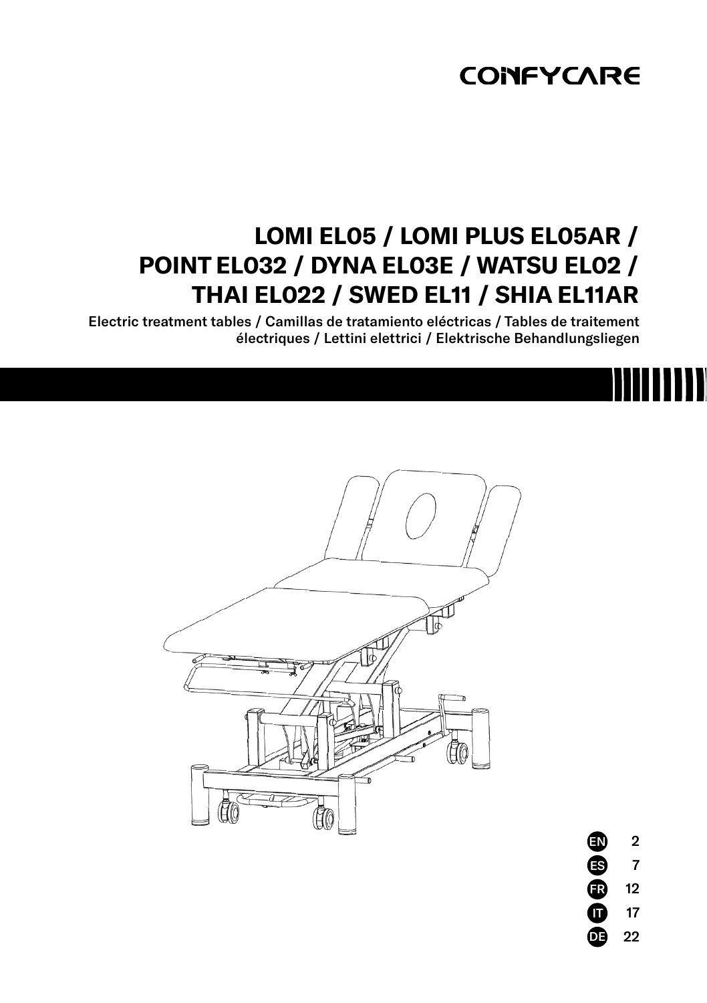# **CONFYCARE**

# **LOMI EL05 / LOMI PLUS EL05AR / POINT EL032 / DYNA EL03E / WATSU EL02 / THAI EL022 / SWED EL11 / SHIA EL11AR**

Electric treatment tables / Camillas de tratamiento eléctricas / Tables de traitement électriques / Lettini elettrici / Elektrische Behandlungsliegen



7 12 17 22 FR ES IT đ.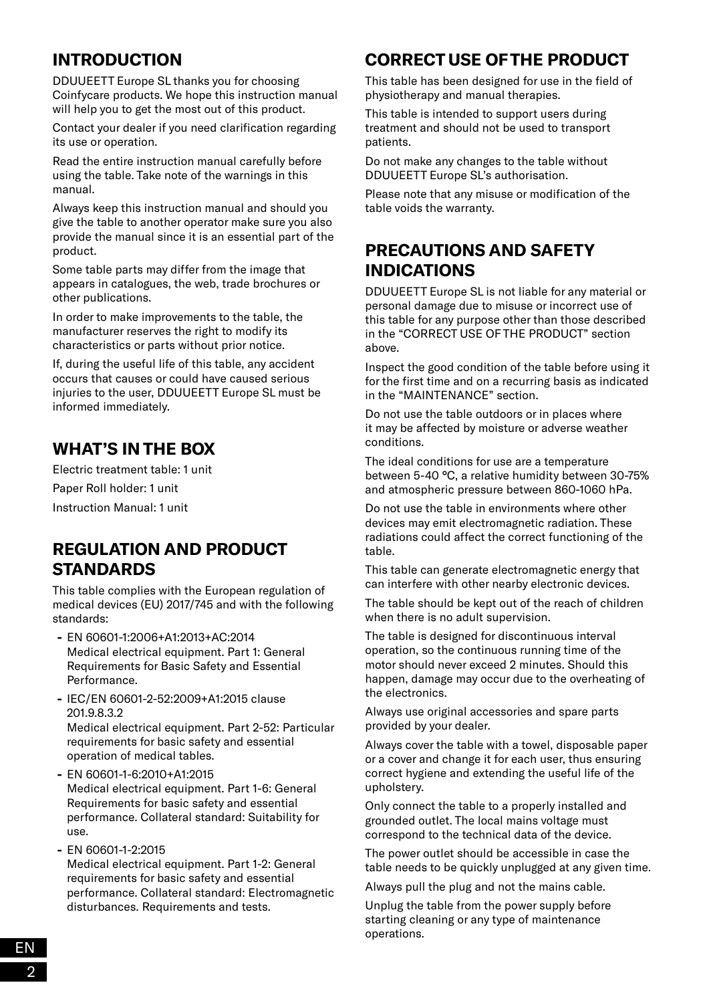# **INTRODUCTION**

DDUUEETT Europe SL thanks you for choosing Coinfycare products. We hope this instruction manual will help you to get the most out of this product.

Contact your dealer if you need clarification regarding its use or operation.

Read the entire instruction manual carefully before using the table. Take note of the warnings in this manual.

Always keep this instruction manual and should you give the table to another operator make sure you also provide the manual since it is an essential part of the product.

Some table parts may differ from the image that appears in catalogues, the web, trade brochures or other publications.

In order to make improvements to the table, the manufacturer reserves the right to modify its characteristics or parts without prior notice.

If, during the useful life of this table, any accident occurs that causes or could have caused serious injuries to the user, DDUUEETT Europe SL must be informed immediately.

# **WHAT'S IN THE BOX**

Electric treatment table: 1 unit Paper Roll holder: 1 unit Instruction Manual: 1 unit

#### **REGULATION AND PRODUCT STANDARDS**

This table complies with the European regulation of medical devices (EU) 2017/745 and with the following standards:

- **-** EN 60601-1:2006+A1:2013+AC:2014 Medical electrical equipment. Part 1: General Requirements for Basic Safety and Essential Performance.
- **-** IEC/EN 60601-2-52:2009+A1:2015 clause 201.9.8.3.2 Medical electrical equipment. Part 2-52: Particular

requirements for basic safety and essential operation of medical tables.

**-** EN 60601-1-6:2010+A1:2015 Medical electrical equipment. Part 1-6: General Requirements for basic safety and essential performance. Collateral standard: Suitability for use.

**-** EN 60601-1-2:2015 Medical electrical equipment. Part 1-2: General requirements for basic safety and essential performance. Collateral standard: Electromagnetic disturbances. Requirements and tests.

# **CORRECT USE OF THE PRODUCT**

This table has been designed for use in the field of physiotherapy and manual therapies.

This table is intended to support users during treatment and should not be used to transport patients.

Do not make any changes to the table without DDUUEETT Europe SL's authorisation.

Please note that any misuse or modification of the table voids the warranty.

### **PRECAUTIONS AND SAFETY INDICATIONS**

DDUUEETT Europe SL is not liable for any material or personal damage due to misuse or incorrect use of this table for any purpose other than those described in the "CORRECT USE OF THE PRODUCT" section above.

Inspect the good condition of the table before using it for the first time and on a recurring basis as indicated in the "MAINTENANCE" section.

Do not use the table outdoors or in places where it may be affected by moisture or adverse weather conditions.

The ideal conditions for use are a temperature between 5-40 °C, a relative humidity between 30-75% and atmospheric pressure between 860-1060 hPa.

Do not use the table in environments where other devices may emit electromagnetic radiation. These radiations could affect the correct functioning of the table.

This table can generate electromagnetic energy that can interfere with other nearby electronic devices.

The table should be kept out of the reach of children when there is no adult supervision.

The table is designed for discontinuous interval operation, so the continuous running time of the motor should never exceed 2 minutes. Should this happen, damage may occur due to the overheating of the electronics.

Always use original accessories and spare parts provided by your dealer.

Always cover the table with a towel, disposable paper or a cover and change it for each user, thus ensuring correct hygiene and extending the useful life of the upholstery.

Only connect the table to a properly installed and grounded outlet. The local mains voltage must correspond to the technical data of the device.

The power outlet should be accessible in case the table needs to be quickly unplugged at any given time.

Always pull the plug and not the mains cable.

Unplug the table from the power supply before starting cleaning or any type of maintenance operations.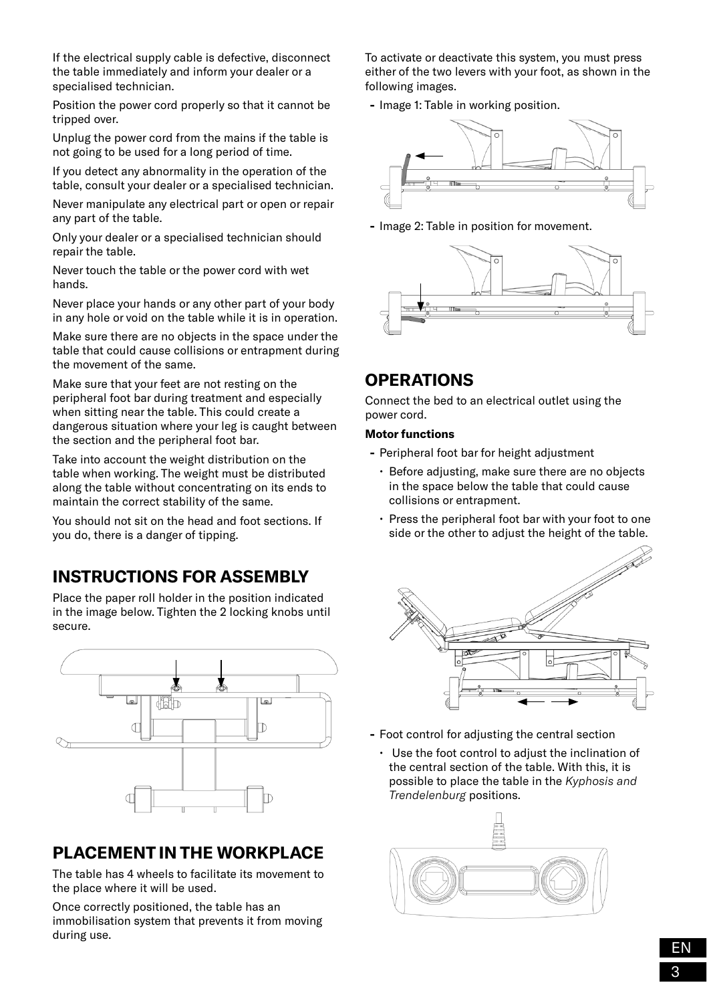If the electrical supply cable is defective, disconnect the table immediately and inform your dealer or a specialised technician.

Position the power cord properly so that it cannot be tripped over.

Unplug the power cord from the mains if the table is not going to be used for a long period of time.

If you detect any abnormality in the operation of the table, consult your dealer or a specialised technician.

Never manipulate any electrical part or open or repair any part of the table.

Only your dealer or a specialised technician should repair the table.

Never touch the table or the power cord with wet hands.

Never place your hands or any other part of your body in any hole or void on the table while it is in operation.

Make sure there are no objects in the space under the table that could cause collisions or entrapment during the movement of the same.

Make sure that your feet are not resting on the peripheral foot bar during treatment and especially when sitting near the table. This could create a dangerous situation where your leg is caught between the section and the peripheral foot bar.

Take into account the weight distribution on the table when working. The weight must be distributed along the table without concentrating on its ends to maintain the correct stability of the same.

You should not sit on the head and foot sections. If you do, there is a danger of tipping.

#### **INSTRUCTIONS FOR ASSEMBLY**

Place the paper roll holder in the position indicated in the image below. Tighten the 2 locking knobs until secure.



### **PLACEMENT IN THE WORKPLACE**

The table has 4 wheels to facilitate its movement to the place where it will be used.

Once correctly positioned, the table has an immobilisation system that prevents it from moving during use.

To activate or deactivate this system, you must press either of the two levers with your foot, as shown in the following images.

**-** Image 1: Table in working position.



**-** Image 2: Table in position for movement.



#### **OPERATIONS**

Connect the bed to an electrical outlet using the power cord.

#### **Motor functions**

- **-** Peripheral foot bar for height adjustment
	- Before adjusting, make sure there are no objects in the space below the table that could cause collisions or entrapment.
	- Press the peripheral foot bar with your foot to one side or the other to adjust the height of the table.



- **-** Foot control for adjusting the central section
	- Use the foot control to adjust the inclination of the central section of the table. With this, it is possible to place the table in the *Kyphosis and Trendelenburg* positions.

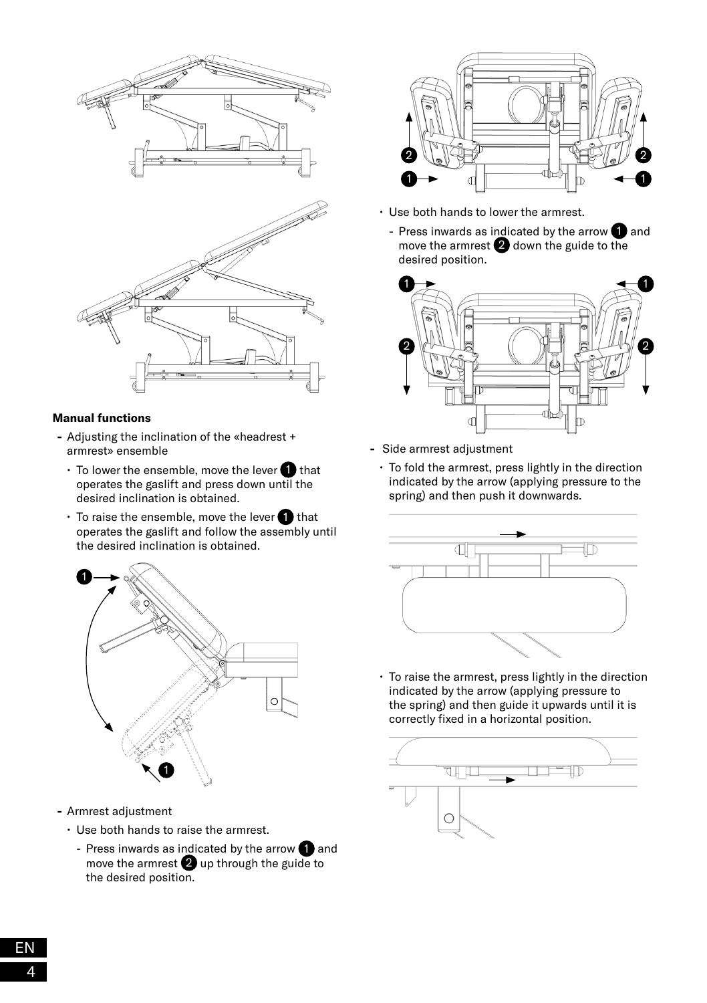

#### **Manual functions**

- **-** Adjusting the inclination of the «headrest + armrest» ensemble
	- $\cdot$  To lower the ensemble, move the lever  $\bigoplus$  that operates the gaslift and press down until the desired inclination is obtained.
	- $\cdot$  To raise the ensemble, move the lever  $\bigcirc$  that operates the gaslift and follow the assembly until the desired inclination is obtained.



- **-** Armrest adjustment
	- Use both hands to raise the armrest.
		- Press inwards as indicated by the arrow  $\bigcirc$  and move the armrest  $\bullet$  up through the guide to the desired position.



- Use both hands to lower the armrest.
	- Press inwards as indicated by the arrow  $\bigcirc$  and move the armrest  $\bullet$  down the guide to the desired position.



- **-** Side armrest adjustment
	- To fold the armrest, press lightly in the direction indicated by the arrow (applying pressure to the spring) and then push it downwards.



• To raise the armrest, press lightly in the direction indicated by the arrow (applying pressure to the spring) and then guide it upwards until it is correctly fixed in a horizontal position.

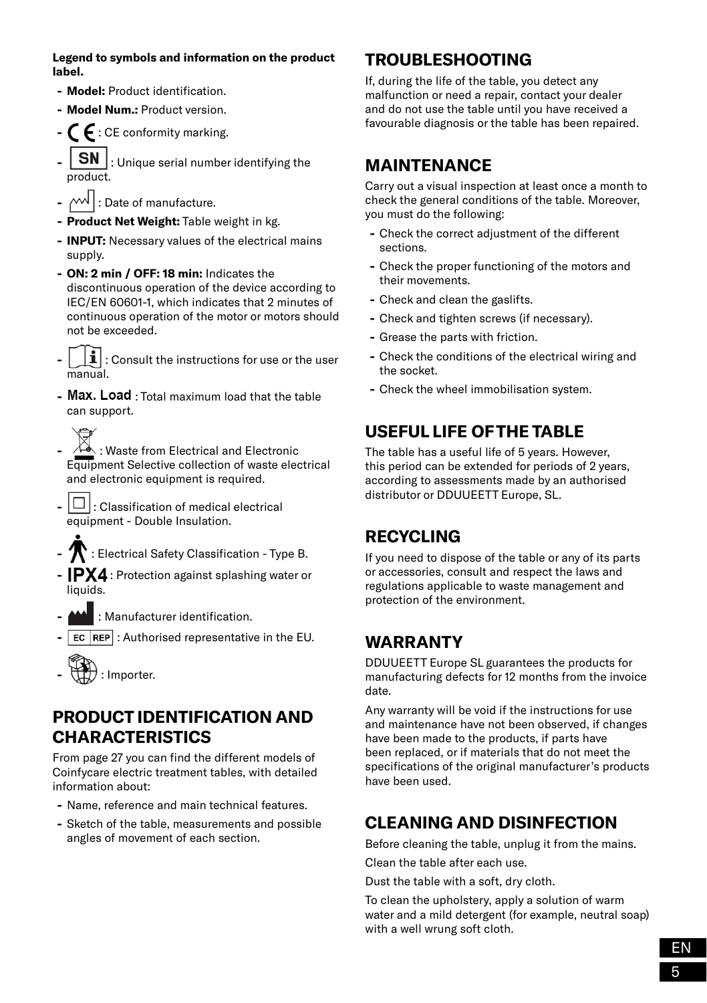**Legend to symbols and information on the product label.**

- **- Model:** Product identification.
- **- Model Num.:** Product version.
- **-** : CE conformity marking.
- **SN** : Unique serial number identifying the product.
- $\lfloor$   $\cdots$   $\lfloor$  : Date of manufacture.
- **- Product Net Weight:** Table weight in kg.
- **- INPUT:** Necessary values of the electrical mains supply.
- **- ON: 2 min / OFF: 18 min:** Indicates the discontinuous operation of the device according to IEC/EN 60601-1, which indicates that 2 minutes of continuous operation of the motor or motors should not be exceeded.
- **-** : Consult the instructions for use or the user manual.
- **Max. Load** : Total maximum load that the table can support.

**-** : Waste from Electrical and Electronic Equipment Selective collection of waste electrical and electronic equipment is required.

- $\Box$  : Classification of medical electrical equipment - Double Insulation.
- **-** : Electrical Safety Classification Type B.
- **-** IPX4 : Protection against splashing water or liquids.
- **-** : Manufacturer identification.
- **EC** REP : Authorised representative in the EU.



#### **PRODUCT IDENTIFICATION AND CHARACTERISTICS**

From page 27 you can find the different models of Coinfycare electric treatment tables, with detailed information about:

- **-** Name, reference and main technical features.
- **-** Sketch of the table, measurements and possible angles of movement of each section.

#### **TROUBLESHOOTING**

If, during the life of the table, you detect any malfunction or need a repair, contact your dealer and do not use the table until you have received a favourable diagnosis or the table has been repaired.

#### **MAINTENANCE**

Carry out a visual inspection at least once a month to check the general conditions of the table. Moreover, you must do the following:

- **-** Check the correct adjustment of the different sections.
- **-** Check the proper functioning of the motors and their movements.
- **-** Check and clean the gaslifts.
- **-** Check and tighten screws (if necessary).
- **-** Grease the parts with friction.
- **-** Check the conditions of the electrical wiring and the socket.
- **-** Check the wheel immobilisation system.

### **USEFUL LIFE OF THE TABLE**

The table has a useful life of 5 years. However, this period can be extended for periods of 2 years, according to assessments made by an authorised distributor or DDUUEETT Europe, SL.

#### **RECYCLING**

If you need to dispose of the table or any of its parts or accessories, consult and respect the laws and regulations applicable to waste management and protection of the environment.

### **WARRANTY**

DDUUEETT Europe SL guarantees the products for manufacturing defects for 12 months from the invoice date.

Any warranty will be void if the instructions for use and maintenance have not been observed, if changes have been made to the products, if parts have been replaced, or if materials that do not meet the specifications of the original manufacturer's products have been used.

# **CLEANING AND DISINFECTION**

Before cleaning the table, unplug it from the mains.

Clean the table after each use.

Dust the table with a soft, dry cloth.

To clean the upholstery, apply a solution of warm water and a mild detergent (for example, neutral soap) with a well wrung soft cloth.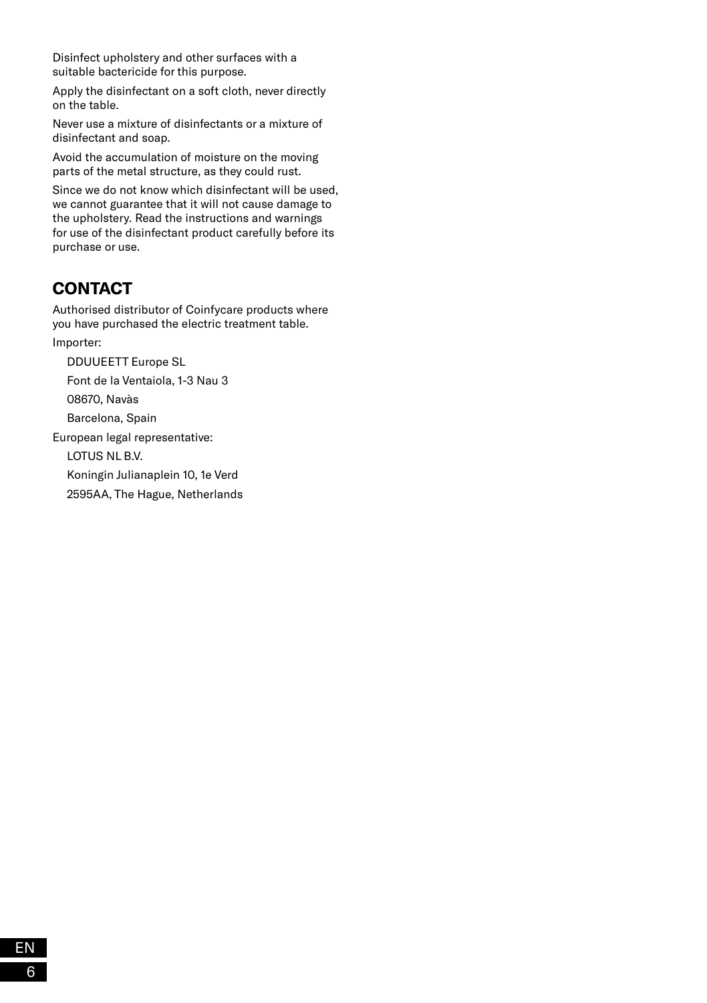Disinfect upholstery and other surfaces with a suitable bactericide for this purpose.

Apply the disinfectant on a soft cloth, never directly on the table.

Never use a mixture of disinfectants or a mixture of disinfectant and soap.

Avoid the accumulation of moisture on the moving parts of the metal structure, as they could rust.

Since we do not know which disinfectant will be used, we cannot guarantee that it will not cause damage to the upholstery. Read the instructions and warnings for use of the disinfectant product carefully before its purchase or use.

# **CONTACT**

Authorised distributor of Coinfycare products where you have purchased the electric treatment table. Importer:

DDUUEETT Europe SL

Font de la Ventaiola, 1-3 Nau 3

08670, Navàs

Barcelona, Spain

European legal representative:

LOTUS NL B.V.

Koningin Julianaplein 10, 1e Verd

2595AA, The Hague, Netherlands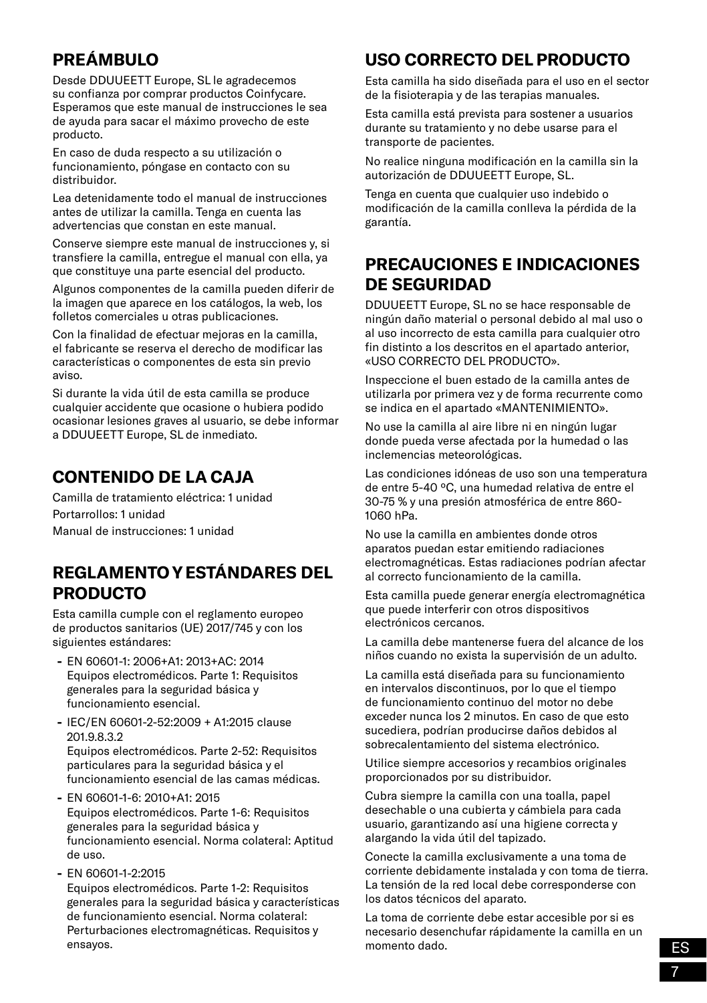# **PREÁMBULO**

Desde DDUUEETT Europe, SL le agradecemos su confianza por comprar productos Coinfycare. Esperamos que este manual de instrucciones le sea de ayuda para sacar el máximo provecho de este producto.

En caso de duda respecto a su utilización o funcionamiento, póngase en contacto con su distribuidor.

Lea detenidamente todo el manual de instrucciones antes de utilizar la camilla. Tenga en cuenta las advertencias que constan en este manual.

Conserve siempre este manual de instrucciones y, si transfiere la camilla, entregue el manual con ella, ya que constituye una parte esencial del producto.

Algunos componentes de la camilla pueden diferir de la imagen que aparece en los catálogos, la web, los folletos comerciales u otras publicaciones.

Con la finalidad de efectuar mejoras en la camilla, el fabricante se reserva el derecho de modificar las características o componentes de esta sin previo aviso.

Si durante la vida útil de esta camilla se produce cualquier accidente que ocasione o hubiera podido ocasionar lesiones graves al usuario, se debe informar a DDUUEETT Europe, SL de inmediato.

# **CONTENIDO DE LA CAJA**

Camilla de tratamiento eléctrica: 1 unidad Portarrollos: 1 unidad Manual de instrucciones: 1 unidad

### **REGLAMENTO Y ESTÁNDARES DEL PRODUCTO**

Esta camilla cumple con el reglamento europeo de productos sanitarios (UE) 2017/745 y con los siguientes estándares:

- **-** EN 60601-1: 2006+A1: 2013+AC: 2014 Equipos electromédicos. Parte 1: Requisitos generales para la seguridad básica y funcionamiento esencial.
- **-** IEC/EN 60601-2-52:2009 + A1:2015 clause 201.9.8.3.2 Equipos electromédicos. Parte 2-52: Requisitos particulares para la seguridad básica y el funcionamiento esencial de las camas médicas.
- **-** EN 60601-1-6: 2010+A1: 2015 Equipos electromédicos. Parte 1-6: Requisitos generales para la seguridad básica y funcionamiento esencial. Norma colateral: Aptitud de uso.
- **-** EN 60601-1-2:2015 Equipos electromédicos. Parte 1-2: Requisitos generales para la seguridad básica y características de funcionamiento esencial. Norma colateral: Perturbaciones electromagnéticas. Requisitos y ensayos.

# **USO CORRECTO DEL PRODUCTO**

Esta camilla ha sido diseñada para el uso en el sector de la fisioterapia y de las terapias manuales.

Esta camilla está prevista para sostener a usuarios durante su tratamiento y no debe usarse para el transporte de pacientes.

No realice ninguna modificación en la camilla sin la autorización de DDUUEETT Europe, SL.

Tenga en cuenta que cualquier uso indebido o modificación de la camilla conlleva la pérdida de la garantía.

# **PRECAUCIONES E INDICACIONES DE SEGURIDAD**

DDUUEETT Europe, SL no se hace responsable de ningún daño material o personal debido al mal uso o al uso incorrecto de esta camilla para cualquier otro fin distinto a los descritos en el apartado anterior, «USO CORRECTO DEL PRODUCTO».

Inspeccione el buen estado de la camilla antes de utilizarla por primera vez y de forma recurrente como se indica en el apartado «MANTENIMIENTO».

No use la camilla al aire libre ni en ningún lugar donde pueda verse afectada por la humedad o las inclemencias meteorológicas.

Las condiciones idóneas de uso son una temperatura de entre 5-40 ºC, una humedad relativa de entre el 30-75 % y una presión atmosférica de entre 860- 1060 hPa.

No use la camilla en ambientes donde otros aparatos puedan estar emitiendo radiaciones electromagnéticas. Estas radiaciones podrían afectar al correcto funcionamiento de la camilla.

Esta camilla puede generar energía electromagnética que puede interferir con otros dispositivos electrónicos cercanos.

La camilla debe mantenerse fuera del alcance de los niños cuando no exista la supervisión de un adulto.

La camilla está diseñada para su funcionamiento en intervalos discontinuos, por lo que el tiempo de funcionamiento continuo del motor no debe exceder nunca los 2 minutos. En caso de que esto sucediera, podrían producirse daños debidos al sobrecalentamiento del sistema electrónico.

Utilice siempre accesorios y recambios originales proporcionados por su distribuidor.

Cubra siempre la camilla con una toalla, papel desechable o una cubierta y cámbiela para cada usuario, garantizando así una higiene correcta y alargando la vida útil del tapizado.

Conecte la camilla exclusivamente a una toma de corriente debidamente instalada y con toma de tierra. La tensión de la red local debe corresponderse con los datos técnicos del aparato.

La toma de corriente debe estar accesible por si es necesario desenchufar rápidamente la camilla en un momento dado.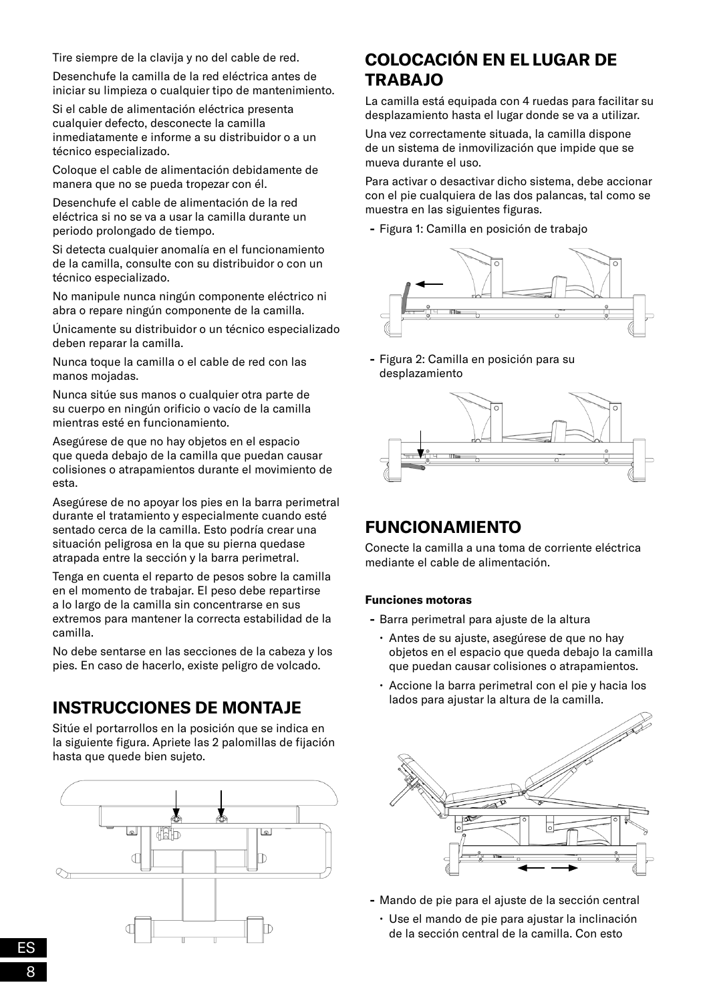Tire siempre de la clavija y no del cable de red.

Desenchufe la camilla de la red eléctrica antes de iniciar su limpieza o cualquier tipo de mantenimiento.

Si el cable de alimentación eléctrica presenta cualquier defecto, desconecte la camilla inmediatamente e informe a su distribuidor o a un técnico especializado.

Coloque el cable de alimentación debidamente de manera que no se pueda tropezar con él.

Desenchufe el cable de alimentación de la red eléctrica si no se va a usar la camilla durante un periodo prolongado de tiempo.

Si detecta cualquier anomalía en el funcionamiento de la camilla, consulte con su distribuidor o con un técnico especializado.

No manipule nunca ningún componente eléctrico ni abra o repare ningún componente de la camilla.

Únicamente su distribuidor o un técnico especializado deben reparar la camilla.

Nunca toque la camilla o el cable de red con las manos mojadas.

Nunca sitúe sus manos o cualquier otra parte de su cuerpo en ningún orificio o vacío de la camilla mientras esté en funcionamiento.

Asegúrese de que no hay objetos en el espacio que queda debajo de la camilla que puedan causar colisiones o atrapamientos durante el movimiento de esta.

Asegúrese de no apoyar los pies en la barra perimetral durante el tratamiento y especialmente cuando esté sentado cerca de la camilla. Esto podría crear una situación peligrosa en la que su pierna quedase atrapada entre la sección y la barra perimetral.

Tenga en cuenta el reparto de pesos sobre la camilla en el momento de trabajar. El peso debe repartirse a lo largo de la camilla sin concentrarse en sus extremos para mantener la correcta estabilidad de la camilla.

No debe sentarse en las secciones de la cabeza y los pies. En caso de hacerlo, existe peligro de volcado.

#### **INSTRUCCIONES DE MONTAJE**

Sitúe el portarrollos en la posición que se indica en la siguiente figura. Apriete las 2 palomillas de fijación hasta que quede bien sujeto.



# **COLOCACIÓN EN EL LUGAR DE TRABAJO**

La camilla está equipada con 4 ruedas para facilitar su desplazamiento hasta el lugar donde se va a utilizar.

Una vez correctamente situada, la camilla dispone de un sistema de inmovilización que impide que se mueva durante el uso.

Para activar o desactivar dicho sistema, debe accionar con el pie cualquiera de las dos palancas, tal como se muestra en las siguientes figuras.

**-** Figura 1: Camilla en posición de trabajo



**-** Figura 2: Camilla en posición para su desplazamiento



### **FUNCIONAMIENTO**

Conecte la camilla a una toma de corriente eléctrica mediante el cable de alimentación.

#### **Funciones motoras**

- **-** Barra perimetral para ajuste de la altura
	- Antes de su ajuste, asegúrese de que no hay objetos en el espacio que queda debajo la camilla que puedan causar colisiones o atrapamientos.
	- Accione la barra perimetral con el pie y hacia los lados para ajustar la altura de la camilla.



- **-** Mando de pie para el ajuste de la sección central
	- Use el mando de pie para ajustar la inclinación de la sección central de la camilla. Con esto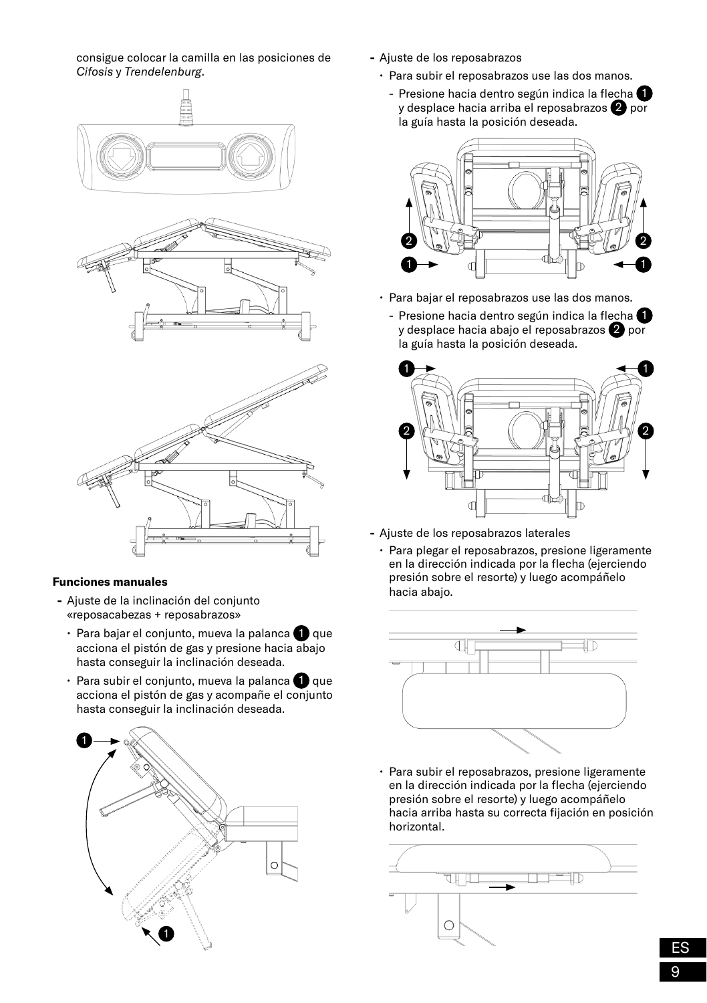consigue colocar la camilla en las posiciones de *Cifosis* y *Trendelenburg*.



#### **Funciones manuales**

- **-** Ajuste de la inclinación del conjunto «reposacabezas + reposabrazos»
	- $\cdot$  Para bajar el conjunto, mueva la palanca  $\bigcirc$  que acciona el pistón de gas y presione hacia abajo hasta conseguir la inclinación deseada.
	- $\cdot$  Para subir el conjunto, mueva la palanca  $\bullet$  que acciona el pistón de gas y acompañe el conjunto hasta conseguir la inclinación deseada.



- **-** Ajuste de los reposabrazos
	- Para subir el reposabrazos use las dos manos.
		- Presione hacia dentro según indica la flecha <sup>1</sup> y desplace hacia arriba el reposabrazos 2 por la guía hasta la posición deseada.



- Para bajar el reposabrazos use las dos manos.
	- Presione hacia dentro según indica la flecha  $\bigcirc$ y desplace hacia abajo el reposabrazos 2 por la guía hasta la posición deseada.



- **-** Ajuste de los reposabrazos laterales
	- Para plegar el reposabrazos, presione ligeramente en la dirección indicada por la flecha (ejerciendo presión sobre el resorte) y luego acompáñelo hacia abajo.



• Para subir el reposabrazos, presione ligeramente en la dirección indicada por la flecha (ejerciendo presión sobre el resorte) y luego acompáñelo hacia arriba hasta su correcta fijación en posición horizontal.

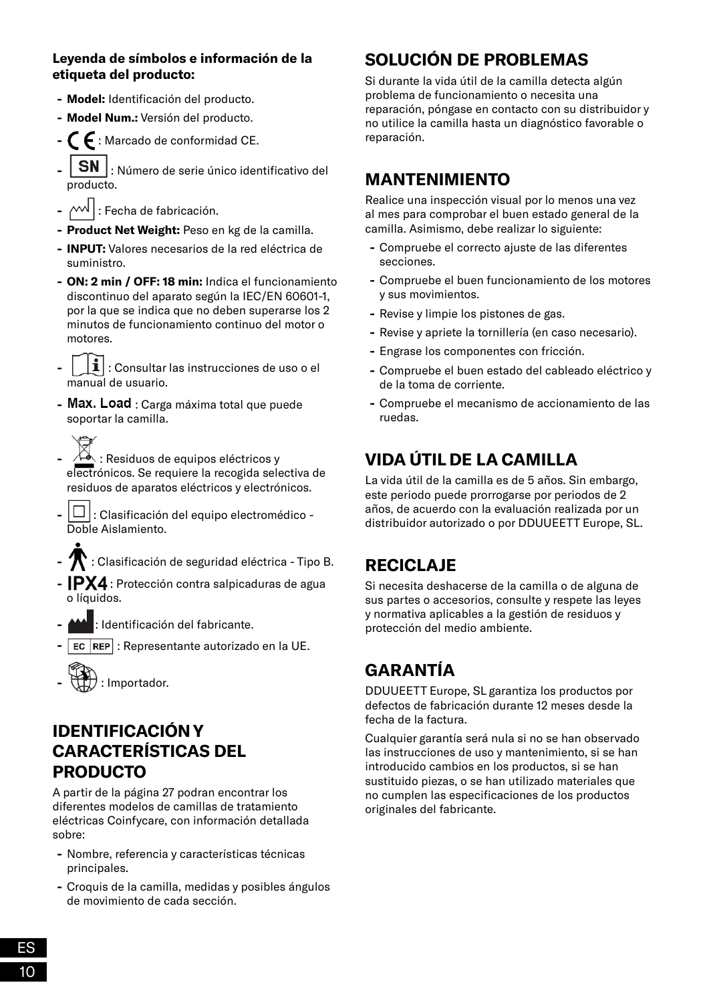#### **Leyenda de símbolos e información de la etiqueta del producto:**

- **- Model:** Identificación del producto.
- **- Model Num.:** Versión del producto.
- **-** : Marcado de conformidad CE.
- **SN** : Número de serie único identificativo del producto.
- $\cdot$   $\sim$ <sup>1</sup> : Fecha de fabricación.
- **- Product Net Weight:** Peso en kg de la camilla.
- **- INPUT:** Valores necesarios de la red eléctrica de suministro.
- **- ON: 2 min / OFF: 18 min:** Indica el funcionamiento discontinuo del aparato según la IEC/EN 60601-1, por la que se indica que no deben superarse los 2 minutos de funcionamiento continuo del motor o motores.
- **-** : Consultar las instrucciones de uso o el manual de usuario.
- Max. Load : Carga máxima total que puede soportar la camilla.
- **-** : Residuos de equipos eléctricos y electrónicos. Se requiere la recogida selectiva de residuos de aparatos eléctricos y electrónicos.
- **-** : Clasificación del equipo electromédico Doble Aislamiento.
- **-** : Clasificación de seguridad eléctrica Tipo B.
- **- IPX4** : Protección contra salpicaduras de agua o líquidos.
- **-** : Identificación del fabricante.
- **EC REP** : Representante autorizado en la UE.
- **-** : Importador.

### **IDENTIFICACIÓN Y CARACTERÍSTICAS DEL PRODUCTO**

A partir de la página 27 podran encontrar los diferentes modelos de camillas de tratamiento eléctricas Coinfycare, con información detallada sobre:

- **-** Nombre, referencia y características técnicas principales.
- **-** Croquis de la camilla, medidas y posibles ángulos de movimiento de cada sección.

# **SOLUCIÓN DE PROBLEMAS**

Si durante la vida útil de la camilla detecta algún problema de funcionamiento o necesita una reparación, póngase en contacto con su distribuidor y no utilice la camilla hasta un diagnóstico favorable o reparación.

### **MANTENIMIENTO**

Realice una inspección visual por lo menos una vez al mes para comprobar el buen estado general de la camilla. Asimismo, debe realizar lo siguiente:

- **-** Compruebe el correcto ajuste de las diferentes secciones.
- **-** Compruebe el buen funcionamiento de los motores y sus movimientos.
- **-** Revise y limpie los pistones de gas.
- **-** Revise y apriete la tornillería (en caso necesario).
- **-** Engrase los componentes con fricción.
- **-** Compruebe el buen estado del cableado eléctrico y de la toma de corriente.
- **-** Compruebe el mecanismo de accionamiento de las ruedas.

# **VIDA ÚTIL DE LA CAMILLA**

La vida útil de la camilla es de 5 años. Sin embargo, este periodo puede prorrogarse por periodos de 2 años, de acuerdo con la evaluación realizada por un distribuidor autorizado o por DDUUEETT Europe, SL.

# **RECICLAJE**

Si necesita deshacerse de la camilla o de alguna de sus partes o accesorios, consulte y respete las leyes y normativa aplicables a la gestión de residuos y protección del medio ambiente.

# **GARANTÍA**

DDUUEETT Europe, SL garantiza los productos por defectos de fabricación durante 12 meses desde la fecha de la factura.

Cualquier garantía será nula si no se han observado las instrucciones de uso y mantenimiento, si se han introducido cambios en los productos, si se han sustituido piezas, o se han utilizado materiales que no cumplen las especificaciones de los productos originales del fabricante.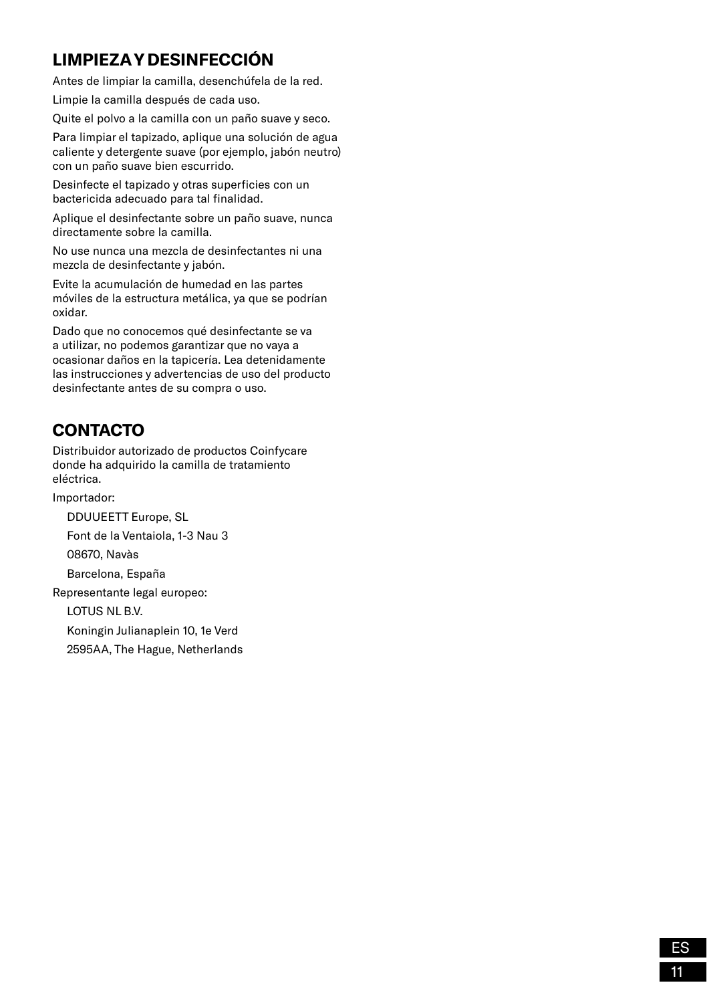# **LIMPIEZA Y DESINFECCIÓN**

Antes de limpiar la camilla, desenchúfela de la red.

Limpie la camilla después de cada uso.

Quite el polvo a la camilla con un paño suave y seco.

Para limpiar el tapizado, aplique una solución de agua caliente y detergente suave (por ejemplo, jabón neutro) con un paño suave bien escurrido.

Desinfecte el tapizado y otras superficies con un bactericida adecuado para tal finalidad.

Aplique el desinfectante sobre un paño suave, nunca directamente sobre la camilla.

No use nunca una mezcla de desinfectantes ni una mezcla de desinfectante y jabón.

Evite la acumulación de humedad en las partes móviles de la estructura metálica, ya que se podrían oxidar.

Dado que no conocemos qué desinfectante se va a utilizar, no podemos garantizar que no vaya a ocasionar daños en la tapicería. Lea detenidamente las instrucciones y advertencias de uso del producto desinfectante antes de su compra o uso.

# **CONTACTO**

Distribuidor autorizado de productos Coinfycare donde ha adquirido la camilla de tratamiento eléctrica.

Importador:

DDUUEETT Europe, SL Font de la Ventaiola, 1-3 Nau 3 08670, Navàs Barcelona, España Representante legal europeo: LOTUS NL B.V. Koningin Julianaplein 10, 1e Verd

2595AA, The Hague, Netherlands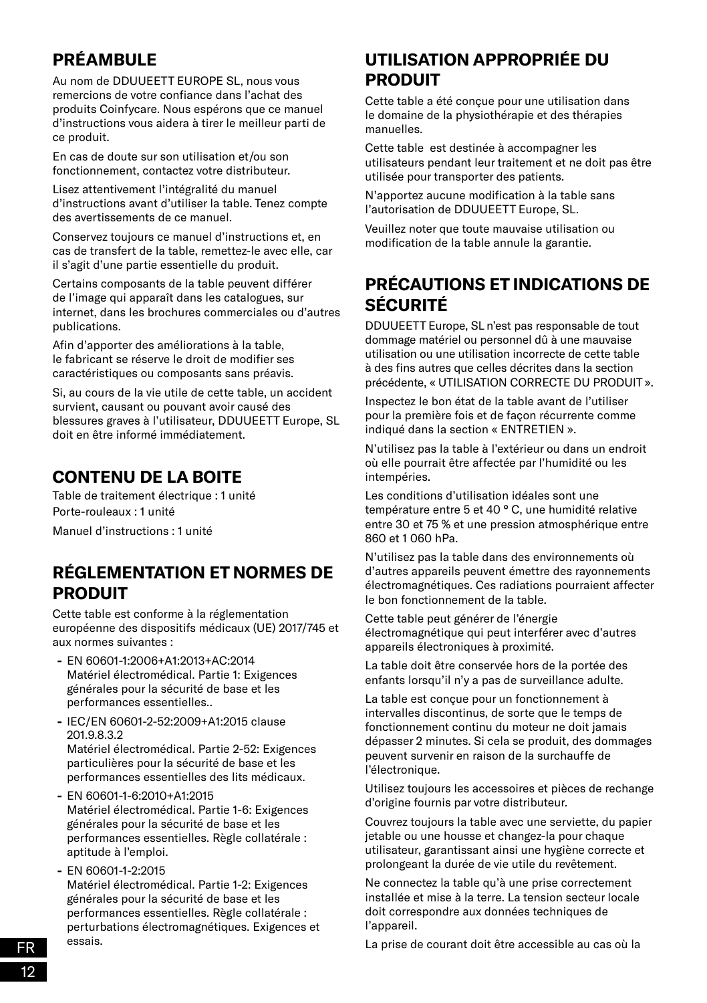# **PRÉAMBULE**

Au nom de DDUUEETT EUROPE SL, nous vous remercions de votre confiance dans l'achat des produits Coinfycare. Nous espérons que ce manuel d'instructions vous aidera à tirer le meilleur parti de ce produit.

En cas de doute sur son utilisation et/ou son fonctionnement, contactez votre distributeur.

Lisez attentivement l'intégralité du manuel d'instructions avant d'utiliser la table. Tenez compte des avertissements de ce manuel.

Conservez toujours ce manuel d'instructions et, en cas de transfert de la table, remettez-le avec elle, car il s'agit d'une partie essentielle du produit.

Certains composants de la table peuvent différer de l'image qui apparaît dans les catalogues, sur internet, dans les brochures commerciales ou d'autres publications.

Afin d'apporter des améliorations à la table, le fabricant se réserve le droit de modifier ses caractéristiques ou composants sans préavis.

Si, au cours de la vie utile de cette table, un accident survient, causant ou pouvant avoir causé des blessures graves à l'utilisateur, DDUUEETT Europe, SL doit en être informé immédiatement.

# **CONTENU DE LA BOITE**

Table de traitement électrique : 1 unité Porte-rouleaux : 1 unité Manuel d'instructions : 1 unité

# **RÉGLEMENTATION ET NORMES DE PRODUIT**

Cette table est conforme à la réglementation européenne des dispositifs médicaux (UE) 2017/745 et aux normes suivantes :

- **-** EN 60601-1:2006+A1:2013+AC:2014 Matériel électromédical. Partie 1: Exigences générales pour la sécurité de base et les performances essentielles..
- **-** IEC/EN 60601-2-52:2009+A1:2015 clause 201.9.8.3.2 Matériel électromédical. Partie 2-52: Exigences particulières pour la sécurité de base et les performances essentielles des lits médicaux.
- **-** EN 60601-1-6:2010+A1:2015 Matériel électromédical. Partie 1-6: Exigences générales pour la sécurité de base et les performances essentielles. Règle collatérale : aptitude à l'emploi.
- **-** EN 60601-1-2:2015 Matériel électromédical. Partie 1-2: Exigences générales pour la sécurité de base et les performances essentielles. Règle collatérale : perturbations électromagnétiques. Exigences et essais.

# **UTILISATION APPROPRIÉE DU PRODUIT**

Cette table a été conçue pour une utilisation dans le domaine de la physiothérapie et des thérapies manuelles.

Cette table est destinée à accompagner les utilisateurs pendant leur traitement et ne doit pas être utilisée pour transporter des patients.

N'apportez aucune modification à la table sans l'autorisation de DDUUEETT Europe, SL.

Veuillez noter que toute mauvaise utilisation ou modification de la table annule la garantie.

# **PRÉCAUTIONS ET INDICATIONS DE SÉCURITÉ**

DDUUEETT Europe, SL n'est pas responsable de tout dommage matériel ou personnel dû à une mauvaise utilisation ou une utilisation incorrecte de cette table à des fins autres que celles décrites dans la section précédente, « UTILISATION CORRECTE DU PRODUIT ».

Inspectez le bon état de la table avant de l'utiliser pour la première fois et de façon récurrente comme indiqué dans la section « ENTRETIEN ».

N'utilisez pas la table à l'extérieur ou dans un endroit où elle pourrait être affectée par l'humidité ou les intempéries.

Les conditions d'utilisation idéales sont une température entre 5 et 40 ° C, une humidité relative entre 30 et 75 % et une pression atmosphérique entre 860 et 1 060 hPa.

N'utilisez pas la table dans des environnements où d'autres appareils peuvent émettre des rayonnements électromagnétiques. Ces radiations pourraient affecter le bon fonctionnement de la table.

Cette table peut générer de l'énergie électromagnétique qui peut interférer avec d'autres appareils électroniques à proximité.

La table doit être conservée hors de la portée des enfants lorsqu'il n'y a pas de surveillance adulte.

La table est conçue pour un fonctionnement à intervalles discontinus, de sorte que le temps de fonctionnement continu du moteur ne doit jamais dépasser 2 minutes. Si cela se produit, des dommages peuvent survenir en raison de la surchauffe de l'électronique.

Utilisez toujours les accessoires et pièces de rechange d'origine fournis par votre distributeur.

Couvrez toujours la table avec une serviette, du papier jetable ou une housse et changez-la pour chaque utilisateur, garantissant ainsi une hygiène correcte et prolongeant la durée de vie utile du revêtement.

Ne connectez la table qu'à une prise correctement installée et mise à la terre. La tension secteur locale doit correspondre aux données techniques de l'appareil.

La prise de courant doit être accessible au cas où la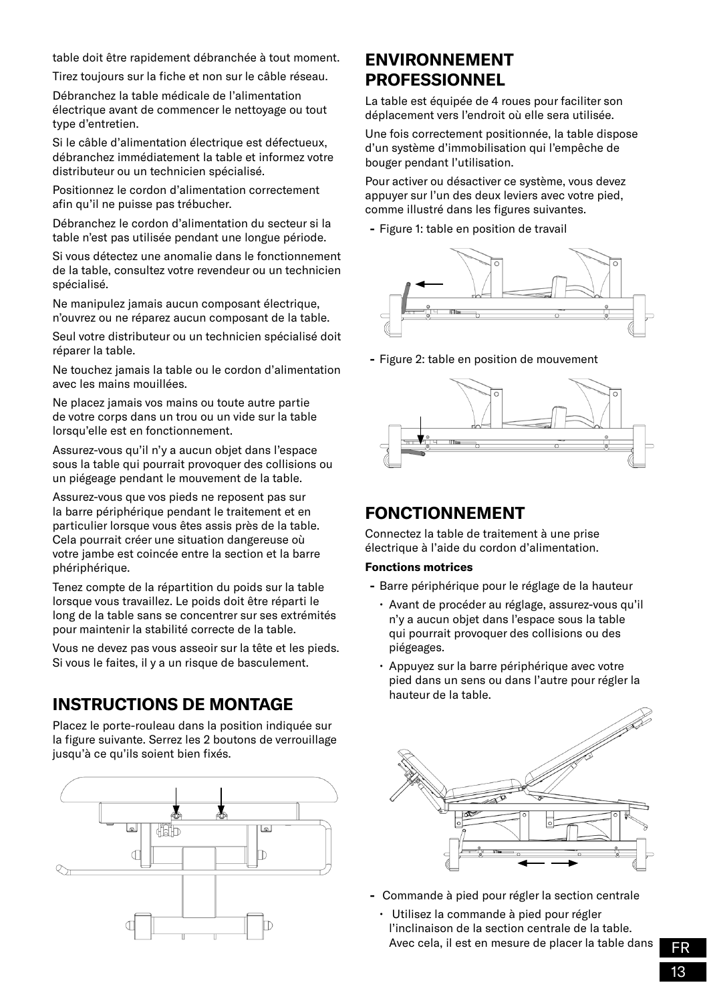table doit être rapidement débranchée à tout moment.

Tirez toujours sur la fiche et non sur le câble réseau.

Débranchez la table médicale de l'alimentation électrique avant de commencer le nettoyage ou tout type d'entretien.

Si le câble d'alimentation électrique est défectueux, débranchez immédiatement la table et informez votre distributeur ou un technicien spécialisé.

Positionnez le cordon d'alimentation correctement afin qu'il ne puisse pas trébucher.

Débranchez le cordon d'alimentation du secteur si la table n'est pas utilisée pendant une longue période.

Si vous détectez une anomalie dans le fonctionnement de la table, consultez votre revendeur ou un technicien spécialisé.

Ne manipulez jamais aucun composant électrique, n'ouvrez ou ne réparez aucun composant de la table.

Seul votre distributeur ou un technicien spécialisé doit réparer la table.

Ne touchez jamais la table ou le cordon d'alimentation avec les mains mouillées.

Ne placez jamais vos mains ou toute autre partie de votre corps dans un trou ou un vide sur la table lorsqu'elle est en fonctionnement.

Assurez-vous qu'il n'y a aucun objet dans l'espace sous la table qui pourrait provoquer des collisions ou un piégeage pendant le mouvement de la table.

Assurez-vous que vos pieds ne reposent pas sur la barre périphérique pendant le traitement et en particulier lorsque vous êtes assis près de la table. Cela pourrait créer une situation dangereuse où votre jambe est coincée entre la section et la barre phériphérique.

Tenez compte de la répartition du poids sur la table lorsque vous travaillez. Le poids doit être réparti le long de la table sans se concentrer sur ses extrémités pour maintenir la stabilité correcte de la table.

Vous ne devez pas vous asseoir sur la tête et les pieds. Si vous le faites, il y a un risque de basculement.

### **INSTRUCTIONS DE MONTAGE**

Placez le porte-rouleau dans la position indiquée sur la figure suivante. Serrez les 2 boutons de verrouillage jusqu'à ce qu'ils soient bien fixés.



#### **ENVIRONNEMENT PROFESSIONNEL**

La table est équipée de 4 roues pour faciliter son déplacement vers l'endroit où elle sera utilisée.

Une fois correctement positionnée, la table dispose d'un système d'immobilisation qui l'empêche de bouger pendant l'utilisation.

Pour activer ou désactiver ce système, vous devez appuyer sur l'un des deux leviers avec votre pied, comme illustré dans les figures suivantes.

**-** Figure 1: table en position de travail



**-** Figure 2: table en position de mouvement



#### **FONCTIONNEMENT**

Connectez la table de traitement à une prise électrique à l'aide du cordon d'alimentation.

#### **Fonctions motrices**

- **-** Barre périphérique pour le réglage de la hauteur
	- Avant de procéder au réglage, assurez-vous qu'il n'y a aucun objet dans l'espace sous la table qui pourrait provoquer des collisions ou des piégeages.
	- Appuyez sur la barre périphérique avec votre pied dans un sens ou dans l'autre pour régler la hauteur de la table.



- **-** Commande à pied pour régler la section centrale
	- Utilisez la commande à pied pour régler l'inclinaison de la section centrale de la table. Avec cela, il est en mesure de placer la table dans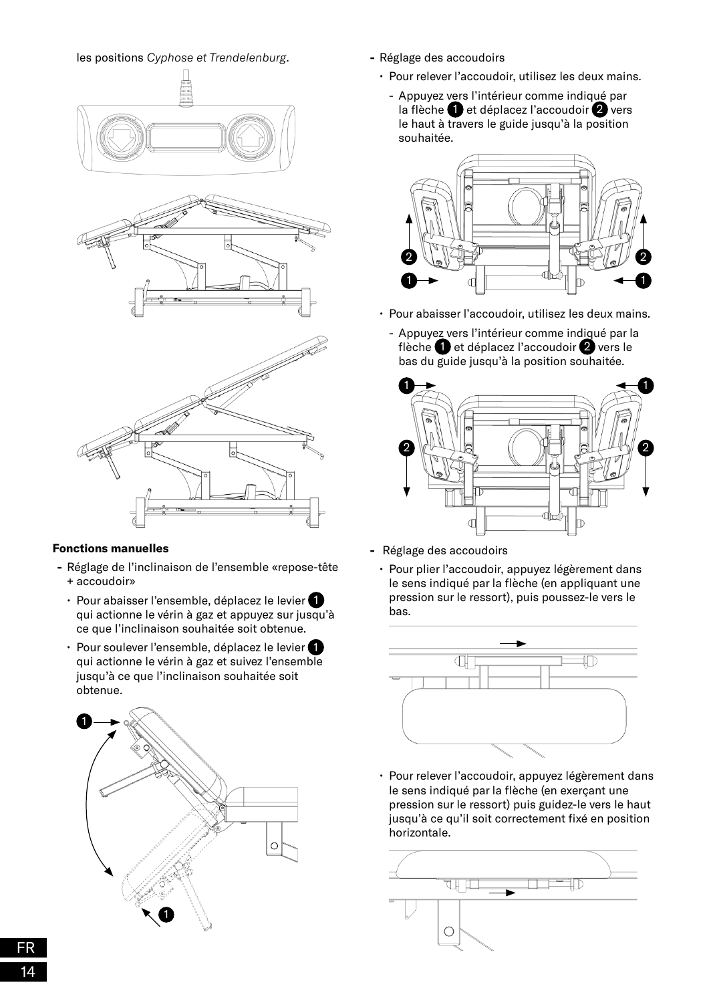#### les positions *Cyphose et Trendelenburg*.



#### **Fonctions manuelles**

- **-** Réglage de l'inclinaison de l'ensemble «repose-tête + accoudoir»
	- Pour abaisser l'ensemble, déplacez le levier qui actionne le vérin à gaz et appuyez sur jusqu'à ce que l'inclinaison souhaitée soit obtenue.
	- Pour soulever l'ensemble, déplacez le levier qui actionne le vérin à gaz et suivez l'ensemble jusqu'à ce que l'inclinaison souhaitée soit obtenue.



- **-** Réglage des accoudoirs
	- Pour relever l'accoudoir, utilisez les deux mains.
		- Appuyez vers l'intérieur comme indiqué par la flèche  $\bigcirc$  et déplacez l'accoudoir  $\bigcirc$  vers le haut à travers le guide jusqu'à la position souhaitée.



- Pour abaisser l'accoudoir, utilisez les deux mains.
	- Appuyez vers l'intérieur comme indiqué par la flèche  $\bigcirc$  et déplacez l'accoudoir  $\bigcirc$  vers le bas du guide jusqu'à la position souhaitée.



- **-** Réglage des accoudoirs
	- Pour plier l'accoudoir, appuyez légèrement dans le sens indiqué par la flèche (en appliquant une pression sur le ressort), puis poussez-le vers le bas.



• Pour relever l'accoudoir, appuyez légèrement dans le sens indiqué par la flèche (en exerçant une pression sur le ressort) puis guidez-le vers le haut jusqu'à ce qu'il soit correctement fixé en position horizontale.

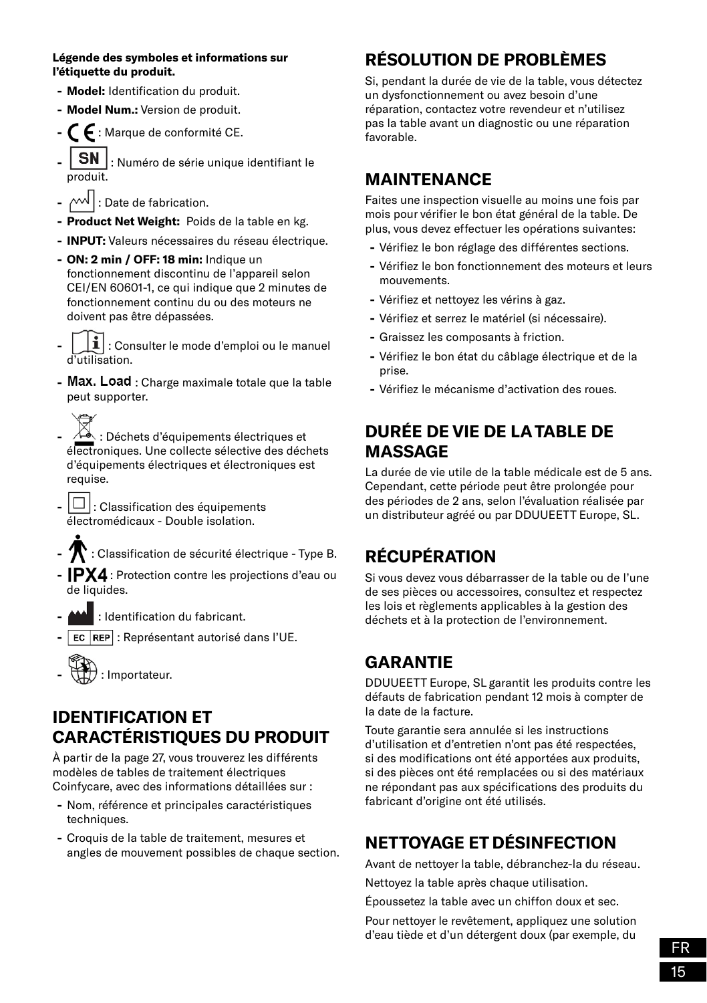#### **Légende des symboles et informations sur l'étiquette du produit.**

- **- Model:** Identification du produit.
- **- Model Num.:** Version de produit.
- **-**  $\mathsf{\mathsf{C}}$  **:** Marque de conformité CE.
- $\mathsf{I}$  **SN** : Numéro de série unique identifiant le produit.
- $\cdot$   $\sim\!\!\sqrt{ }$  : Date de fabrication.
- **- Product Net Weight:** Poids de la table en kg.
- **- INPUT:** Valeurs nécessaires du réseau électrique.
- **- ON: 2 min / OFF: 18 min:** Indique un fonctionnement discontinu de l'appareil selon CEI/EN 60601-1, ce qui indique que 2 minutes de fonctionnement continu du ou des moteurs ne doivent pas être dépassées.
- $\mathbf{1}$  : Consulter le mode d'emploi ou le manuel d'utilisation.
- Max. Load : Charge maximale totale que la table peut supporter.
- **-** : Déchets d'équipements électriques et électroniques. Une collecte sélective des déchets d'équipements électriques et électroniques est requise.
- $|\Box|$ : Classification des équipements électromédicaux - Double isolation.
- **-** : Classification de sécurité électrique Type B.
- **-** IPX4 : Protection contre les projections d'eau ou de liquides.
- **-** : Identification du fabricant.
- **EC REP** : Représentant autorisé dans l'UE.



### **IDENTIFICATION ET CARACTÉRISTIQUES DU PRODUIT**

À partir de la page 27, vous trouverez les différents modèles de tables de traitement électriques Coinfycare, avec des informations détaillées sur :

- **-** Nom, référence et principales caractéristiques techniques.
- **-** Croquis de la table de traitement, mesures et angles de mouvement possibles de chaque section.

# **RÉSOLUTION DE PROBLÈMES**

Si, pendant la durée de vie de la table, vous détectez un dysfonctionnement ou avez besoin d'une réparation, contactez votre revendeur et n'utilisez pas la table avant un diagnostic ou une réparation favorable.

### **MAINTENANCE**

Faites une inspection visuelle au moins une fois par mois pour vérifier le bon état général de la table. De plus, vous devez effectuer les opérations suivantes:

- **-** Vérifiez le bon réglage des différentes sections.
- **-** Vérifiez le bon fonctionnement des moteurs et leurs mouvements.
- **-** Vérifiez et nettoyez les vérins à gaz.
- **-** Vérifiez et serrez le matériel (si nécessaire).
- **-** Graissez les composants à friction.
- **-** Vérifiez le bon état du câblage électrique et de la prise.
- **-** Vérifiez le mécanisme d'activation des roues.

### **DURÉE DE VIE DE LA TABLE DE MASSAGE**

La durée de vie utile de la table médicale est de 5 ans. Cependant, cette période peut être prolongée pour des périodes de 2 ans, selon l'évaluation réalisée par un distributeur agréé ou par DDUUEETT Europe, SL.

# **RÉCUPÉRATION**

Si vous devez vous débarrasser de la table ou de l'une de ses pièces ou accessoires, consultez et respectez les lois et règlements applicables à la gestion des déchets et à la protection de l'environnement.

# **GARANTIE**

DDUUEETT Europe, SL garantit les produits contre les défauts de fabrication pendant 12 mois à compter de la date de la facture.

Toute garantie sera annulée si les instructions d'utilisation et d'entretien n'ont pas été respectées, si des modifications ont été apportées aux produits, si des pièces ont été remplacées ou si des matériaux ne répondant pas aux spécifications des produits du fabricant d'origine ont été utilisés.

# **NETTOYAGE ET DÉSINFECTION**

Avant de nettoyer la table, débranchez-la du réseau.

Nettoyez la table après chaque utilisation.

Époussetez la table avec un chiffon doux et sec.

Pour nettoyer le revêtement, appliquez une solution d'eau tiède et d'un détergent doux (par exemple, du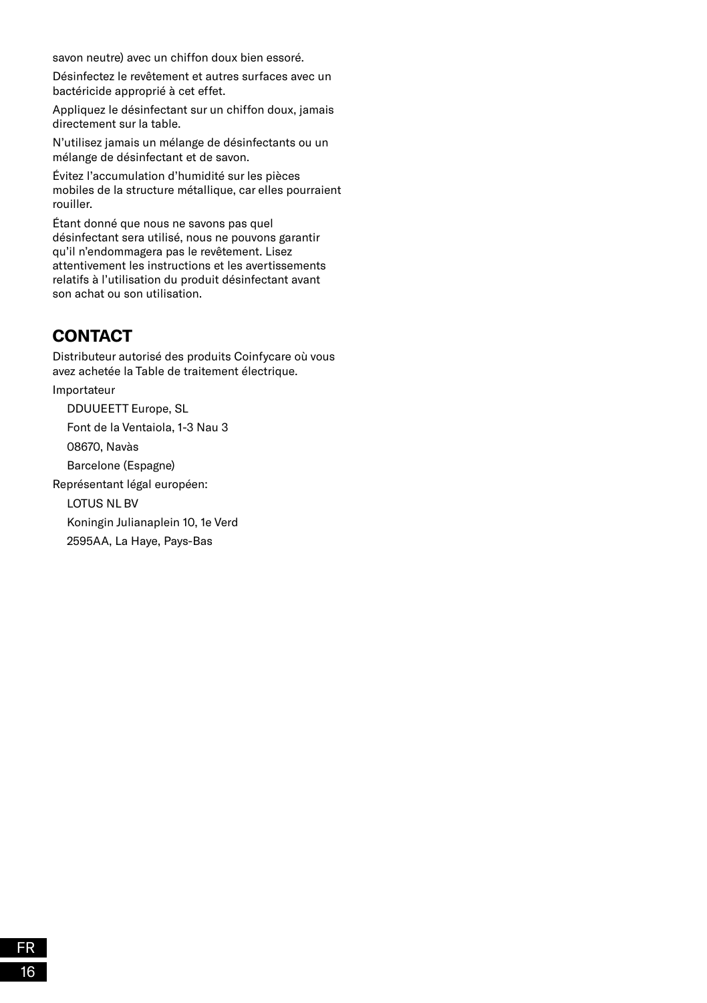savon neutre) avec un chiffon doux bien essoré.

Désinfectez le revêtement et autres surfaces avec un bactéricide approprié à cet effet.

Appliquez le désinfectant sur un chiffon doux, jamais directement sur la table.

N'utilisez jamais un mélange de désinfectants ou un mélange de désinfectant et de savon.

Évitez l'accumulation d'humidité sur les pièces mobiles de la structure métallique, car elles pourraient rouiller.

Étant donné que nous ne savons pas quel désinfectant sera utilisé, nous ne pouvons garantir qu'il n'endommagera pas le revêtement. Lisez attentivement les instructions et les avertissements relatifs à l'utilisation du produit désinfectant avant son achat ou son utilisation.

#### **CONTACT**

Distributeur autorisé des produits Coinfycare où vous avez achetée la Table de traitement électrique.

Importateur

DDUUEETT Europe, SL

Font de la Ventaiola, 1-3 Nau 3

08670, Navàs

Barcelone (Espagne)

Représentant légal européen:

LOTUS NL BV

Koningin Julianaplein 10, 1e Verd

2595AA, La Haye, Pays-Bas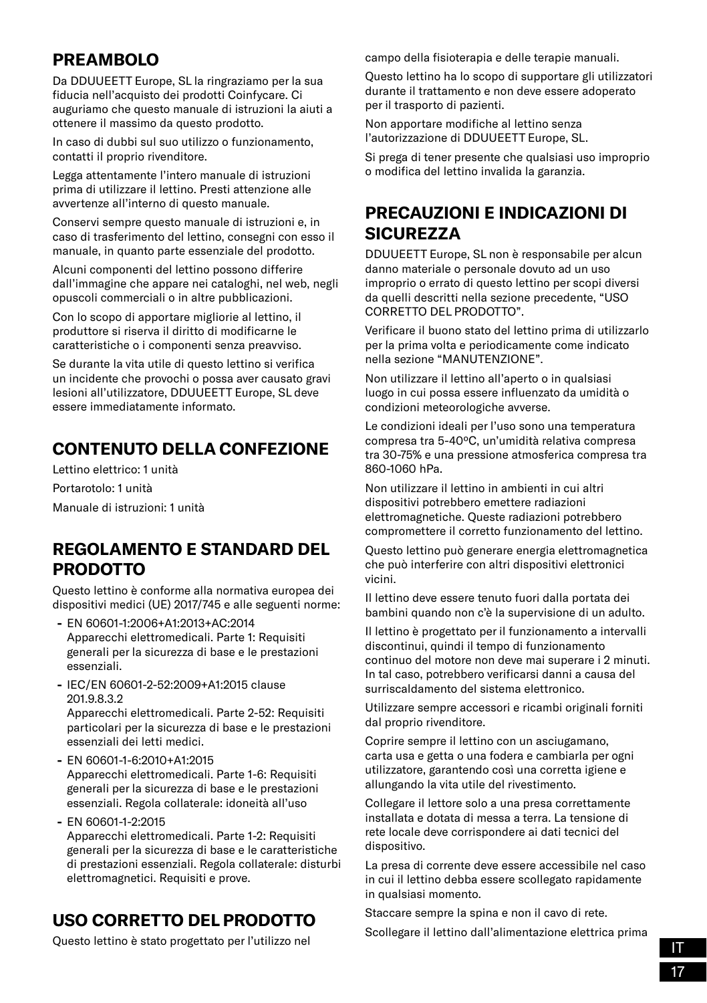# **PREAMBOLO**

Da DDUUEETT Europe, SL la ringraziamo per la sua fiducia nell'acquisto dei prodotti Coinfycare. Ci auguriamo che questo manuale di istruzioni la aiuti a ottenere il massimo da questo prodotto.

In caso di dubbi sul suo utilizzo o funzionamento, contatti il proprio rivenditore.

Legga attentamente l'intero manuale di istruzioni prima di utilizzare il lettino. Presti attenzione alle avvertenze all'interno di questo manuale.

Conservi sempre questo manuale di istruzioni e, in caso di trasferimento del lettino, consegni con esso il manuale, in quanto parte essenziale del prodotto.

Alcuni componenti del lettino possono differire dall'immagine che appare nei cataloghi, nel web, negli opuscoli commerciali o in altre pubblicazioni.

Con lo scopo di apportare migliorie al lettino, il produttore si riserva il diritto di modificarne le caratteristiche o i componenti senza preavviso.

Se durante la vita utile di questo lettino si verifica un incidente che provochi o possa aver causato gravi lesioni all'utilizzatore, DDUUEETT Europe, SL deve essere immediatamente informato.

# **CONTENUTO DELLA CONFEZIONE**

Lettino elettrico: 1 unità Portarotolo: 1 unità Manuale di istruzioni: 1 unità

### **REGOLAMENTO E STANDARD DEL PRODOTTO**

Questo lettino è conforme alla normativa europea dei dispositivi medici (UE) 2017/745 e alle seguenti norme:

- **-** EN 60601-1:2006+A1:2013+AC:2014 Apparecchi elettromedicali. Parte 1: Requisiti generali per la sicurezza di base e le prestazioni essenziali.
- **-** IEC/EN 60601-2-52:2009+A1:2015 clause 201.9.8.3.2

Apparecchi elettromedicali. Parte 2-52: Requisiti particolari per la sicurezza di base e le prestazioni essenziali dei letti medici.

**-** EN 60601-1-6:2010+A1:2015

Apparecchi elettromedicali. Parte 1-6: Requisiti generali per la sicurezza di base e le prestazioni essenziali. Regola collaterale: idoneità all'uso

**-** EN 60601-1-2:2015

Apparecchi elettromedicali. Parte 1-2: Requisiti generali per la sicurezza di base e le caratteristiche di prestazioni essenziali. Regola collaterale: disturbi elettromagnetici. Requisiti e prove.

# **USO CORRETTO DEL PRODOTTO**

Questo lettino è stato progettato per l'utilizzo nel

campo della fisioterapia e delle terapie manuali.

Questo lettino ha lo scopo di supportare gli utilizzatori durante il trattamento e non deve essere adoperato per il trasporto di pazienti.

Non apportare modifiche al lettino senza l'autorizzazione di DDUUEETT Europe, SL.

Si prega di tener presente che qualsiasi uso improprio o modifica del lettino invalida la garanzia.

### **PRECAUZIONI E INDICAZIONI DI SICUREZZA**

DDUUEETT Europe, SL non è responsabile per alcun danno materiale o personale dovuto ad un uso improprio o errato di questo lettino per scopi diversi da quelli descritti nella sezione precedente, "USO CORRETTO DEL PRODOTTO".

Verificare il buono stato del lettino prima di utilizzarlo per la prima volta e periodicamente come indicato nella sezione "MANUTENZIONE".

Non utilizzare il lettino all'aperto o in qualsiasi luogo in cui possa essere influenzato da umidità o condizioni meteorologiche avverse.

Le condizioni ideali per l'uso sono una temperatura compresa tra 5-40ºC, un'umidità relativa compresa tra 30-75% e una pressione atmosferica compresa tra 860-1060 hPa.

Non utilizzare il lettino in ambienti in cui altri dispositivi potrebbero emettere radiazioni elettromagnetiche. Queste radiazioni potrebbero compromettere il corretto funzionamento del lettino.

Questo lettino può generare energia elettromagnetica che può interferire con altri dispositivi elettronici vicini.

Il lettino deve essere tenuto fuori dalla portata dei bambini quando non c'è la supervisione di un adulto.

Il lettino è progettato per il funzionamento a intervalli discontinui, quindi il tempo di funzionamento continuo del motore non deve mai superare i 2 minuti. In tal caso, potrebbero verificarsi danni a causa del surriscaldamento del sistema elettronico.

Utilizzare sempre accessori e ricambi originali forniti dal proprio rivenditore.

Coprire sempre il lettino con un asciugamano, carta usa e getta o una fodera e cambiarla per ogni utilizzatore, garantendo così una corretta igiene e allungando la vita utile del rivestimento.

Collegare il lettore solo a una presa correttamente installata e dotata di messa a terra. La tensione di rete locale deve corrispondere ai dati tecnici del dispositivo.

La presa di corrente deve essere accessibile nel caso in cui il lettino debba essere scollegato rapidamente in qualsiasi momento.

Staccare sempre la spina e non il cavo di rete.

Scollegare il lettino dall'alimentazione elettrica prima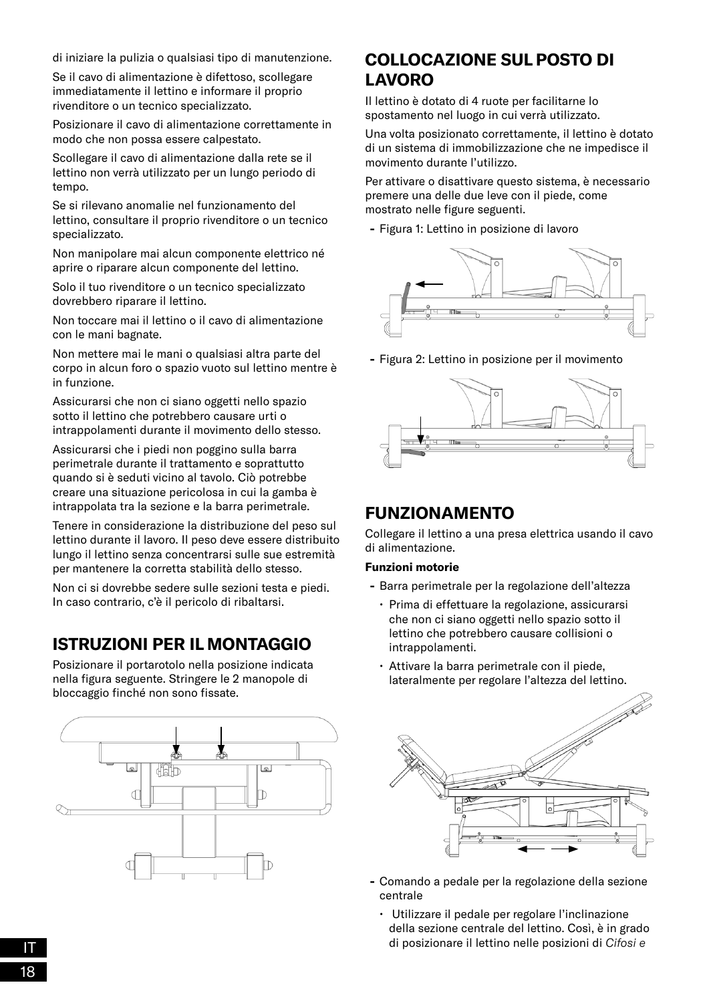di iniziare la pulizia o qualsiasi tipo di manutenzione.

Se il cavo di alimentazione è difettoso, scollegare immediatamente il lettino e informare il proprio rivenditore o un tecnico specializzato.

Posizionare il cavo di alimentazione correttamente in modo che non possa essere calpestato.

Scollegare il cavo di alimentazione dalla rete se il lettino non verrà utilizzato per un lungo periodo di tempo.

Se si rilevano anomalie nel funzionamento del lettino, consultare il proprio rivenditore o un tecnico specializzato.

Non manipolare mai alcun componente elettrico né aprire o riparare alcun componente del lettino.

Solo il tuo rivenditore o un tecnico specializzato dovrebbero riparare il lettino.

Non toccare mai il lettino o il cavo di alimentazione con le mani bagnate.

Non mettere mai le mani o qualsiasi altra parte del corpo in alcun foro o spazio vuoto sul lettino mentre è in funzione.

Assicurarsi che non ci siano oggetti nello spazio sotto il lettino che potrebbero causare urti o intrappolamenti durante il movimento dello stesso.

Assicurarsi che i piedi non poggino sulla barra perimetrale durante il trattamento e soprattutto quando si è seduti vicino al tavolo. Ciò potrebbe creare una situazione pericolosa in cui la gamba è intrappolata tra la sezione e la barra perimetrale.

Tenere in considerazione la distribuzione del peso sul lettino durante il lavoro. Il peso deve essere distribuito lungo il lettino senza concentrarsi sulle sue estremità per mantenere la corretta stabilità dello stesso.

Non ci si dovrebbe sedere sulle sezioni testa e piedi. In caso contrario, c'è il pericolo di ribaltarsi.

# **ISTRUZIONI PER IL MONTAGGIO**

Posizionare il portarotolo nella posizione indicata nella figura seguente. Stringere le 2 manopole di bloccaggio finché non sono fissate.



### **COLLOCAZIONE SUL POSTO DI LAVORO**

Il lettino è dotato di 4 ruote per facilitarne lo spostamento nel luogo in cui verrà utilizzato.

Una volta posizionato correttamente, il lettino è dotato di un sistema di immobilizzazione che ne impedisce il movimento durante l'utilizzo.

Per attivare o disattivare questo sistema, è necessario premere una delle due leve con il piede, come mostrato nelle figure seguenti.

**-** Figura 1: Lettino in posizione di lavoro



**-** Figura 2: Lettino in posizione per il movimento



### **FUNZIONAMENTO**

Collegare il lettino a una presa elettrica usando il cavo di alimentazione.

#### **Funzioni motorie**

- **-** Barra perimetrale per la regolazione dell'altezza
	- Prima di effettuare la regolazione, assicurarsi che non ci siano oggetti nello spazio sotto il lettino che potrebbero causare collisioni o intrappolamenti.
	- Attivare la barra perimetrale con il piede, lateralmente per regolare l'altezza del lettino.



- **-** Comando a pedale per la regolazione della sezione centrale
- Utilizzare il pedale per regolare l'inclinazione della sezione centrale del lettino. Così, è in grado di posizionare il lettino nelle posizioni di *Cifosi e*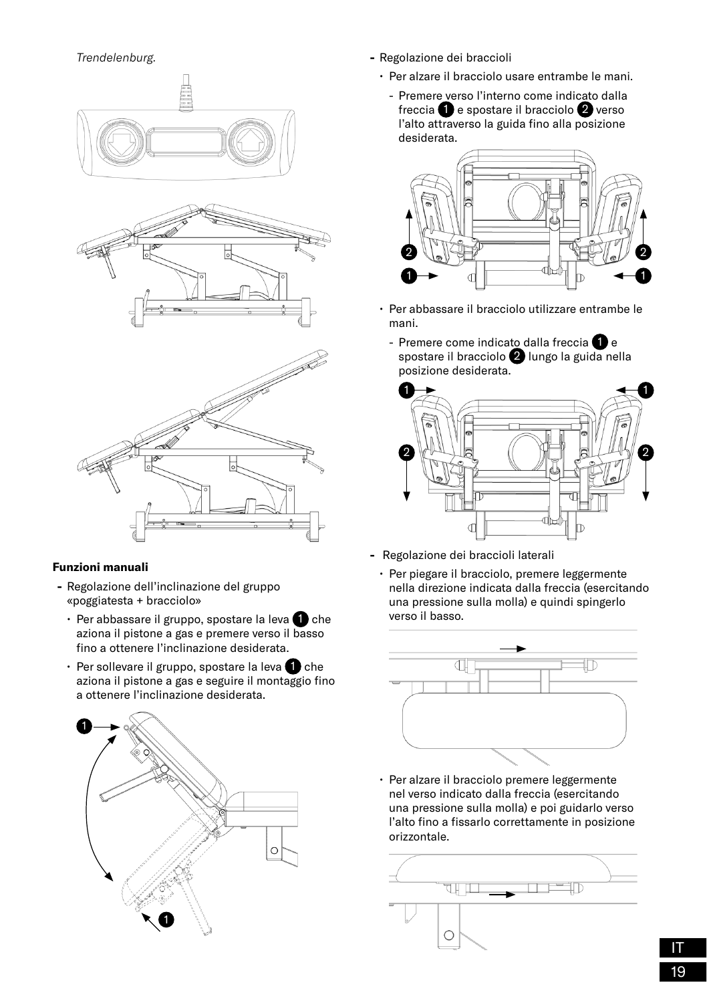*Trendelenburg.*



#### **Funzioni manuali**

- **-** Regolazione dell'inclinazione del gruppo «poggiatesta + bracciolo»
	- $\cdot$  Per abbassare il gruppo, spostare la leva  $\bullet$  che aziona il pistone a gas e premere verso il basso fino a ottenere l'inclinazione desiderata.
	- Per sollevare il gruppo, spostare la leva 1 che aziona il pistone a gas e seguire il montaggio fino a ottenere l'inclinazione desiderata.



- **-** Regolazione dei braccioli
	- Per alzare il bracciolo usare entrambe le mani.
		- Premere verso l'interno come indicato dalla freccia  $\bigcirc$  e spostare il bracciolo  $\bigcirc$  verso l'alto attraverso la guida fino alla posizione desiderata.



- Per abbassare il bracciolo utilizzare entrambe le mani.
	- Premere come indicato dalla freccia  $\bigcirc$  e spostare il bracciolo 2 lungo la guida nella posizione desiderata.



- **-** Regolazione dei braccioli laterali
	- Per piegare il bracciolo, premere leggermente nella direzione indicata dalla freccia (esercitando una pressione sulla molla) e quindi spingerlo verso il basso.



• Per alzare il bracciolo premere leggermente nel verso indicato dalla freccia (esercitando una pressione sulla molla) e poi guidarlo verso l'alto fino a fissarlo correttamente in posizione orizzontale.

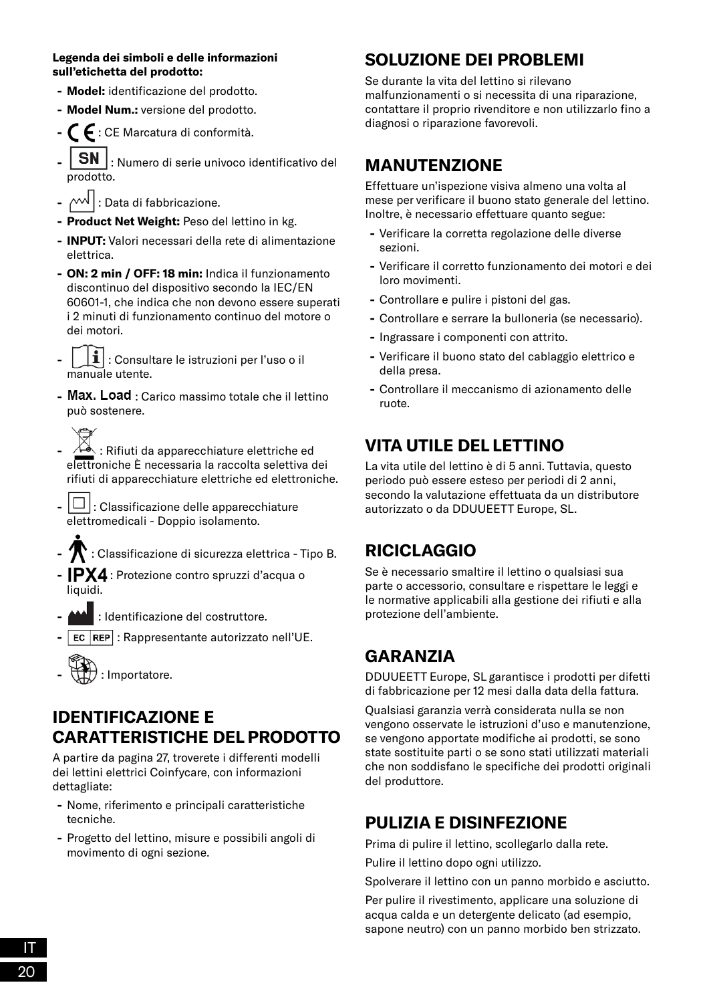#### **Legenda dei simboli e delle informazioni sull'etichetta del prodotto:**

- **- Model:** identificazione del prodotto.
- **- Model Num.:** versione del prodotto.
- **-** : CE Marcatura di conformità.
- **SN** : Numero di serie univoco identificativo del prodotto.
- $\cdot$   $\sim\!\!\sqrt{ }$  : Data di fabbricazione.
- **- Product Net Weight:** Peso del lettino in kg.
- **- INPUT:** Valori necessari della rete di alimentazione elettrica.
- **- ON: 2 min / OFF: 18 min:** Indica il funzionamento discontinuo del dispositivo secondo la IEC/EN 60601-1, che indica che non devono essere superati i 2 minuti di funzionamento continuo del motore o dei motori.
- **-** : Consultare le istruzioni per l'uso o il manuale utente.
- **Max. Load**: Carico massimo totale che il lettino può sostenere.
- **-** : Rifiuti da apparecchiature elettriche ed elettroniche È necessaria la raccolta selettiva dei rifiuti di apparecchiature elettriche ed elettroniche.
- $|\Box|$ : Classificazione delle apparecchiature elettromedicali - Doppio isolamento.
- **-** : Classificazione di sicurezza elettrica Tipo B.
- **-** IPX4 : Protezione contro spruzzi d'acqua o liquidi.
- **-** : Identificazione del costruttore.
- **EC REP** : Rappresentante autorizzato nell'UE.



### **IDENTIFICAZIONE E CARATTERISTICHE DEL PRODOTTO**

A partire da pagina 27, troverete i differenti modelli dei lettini elettrici Coinfycare, con informazioni dettagliate:

- **-** Nome, riferimento e principali caratteristiche tecniche.
- **-** Progetto del lettino, misure e possibili angoli di movimento di ogni sezione.

# **SOLUZIONE DEI PROBLEMI**

Se durante la vita del lettino si rilevano malfunzionamenti o si necessita di una riparazione, contattare il proprio rivenditore e non utilizzarlo fino a diagnosi o riparazione favorevoli.

### **MANUTENZIONE**

Effettuare un'ispezione visiva almeno una volta al mese per verificare il buono stato generale del lettino. Inoltre, è necessario effettuare quanto segue:

- **-** Verificare la corretta regolazione delle diverse sezioni.
- **-** Verificare il corretto funzionamento dei motori e dei loro movimenti.
- **-** Controllare e pulire i pistoni del gas.
- **-** Controllare e serrare la bulloneria (se necessario).
- **-** Ingrassare i componenti con attrito.
- **-** Verificare il buono stato del cablaggio elettrico e della presa.
- **-** Controllare il meccanismo di azionamento delle ruote.

# **VITA UTILE DEL LETTINO**

La vita utile del lettino è di 5 anni. Tuttavia, questo periodo può essere esteso per periodi di 2 anni, secondo la valutazione effettuata da un distributore autorizzato o da DDUUEETT Europe, SL.

# **RICICLAGGIO**

Se è necessario smaltire il lettino o qualsiasi sua parte o accessorio, consultare e rispettare le leggi e le normative applicabili alla gestione dei rifiuti e alla protezione dell'ambiente.

# **GARANZIA**

DDUUEETT Europe, SL garantisce i prodotti per difetti di fabbricazione per 12 mesi dalla data della fattura.

Qualsiasi garanzia verrà considerata nulla se non vengono osservate le istruzioni d'uso e manutenzione, se vengono apportate modifiche ai prodotti, se sono state sostituite parti o se sono stati utilizzati materiali che non soddisfano le specifiche dei prodotti originali del produttore.

# **PULIZIA E DISINFEZIONE**

Prima di pulire il lettino, scollegarlo dalla rete.

Pulire il lettino dopo ogni utilizzo.

Spolverare il lettino con un panno morbido e asciutto.

Per pulire il rivestimento, applicare una soluzione di acqua calda e un detergente delicato (ad esempio, sapone neutro) con un panno morbido ben strizzato.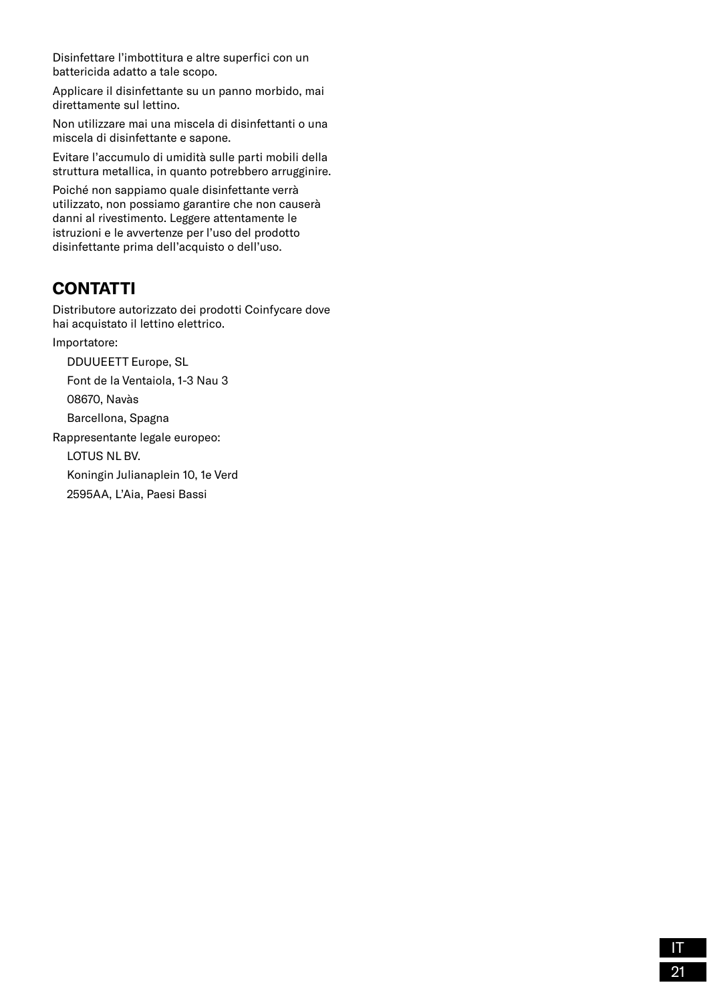Disinfettare l'imbottitura e altre superfici con un battericida adatto a tale scopo.

Applicare il disinfettante su un panno morbido, mai direttamente sul lettino.

Non utilizzare mai una miscela di disinfettanti o una miscela di disinfettante e sapone.

Evitare l'accumulo di umidità sulle parti mobili della struttura metallica, in quanto potrebbero arrugginire.

Poiché non sappiamo quale disinfettante verrà utilizzato, non possiamo garantire che non causerà danni al rivestimento. Leggere attentamente le istruzioni e le avvertenze per l'uso del prodotto disinfettante prima dell'acquisto o dell'uso.

# **CONTATTI**

Distributore autorizzato dei prodotti Coinfycare dove hai acquistato il lettino elettrico.

Importatore:

DDUUEETT Europe, SL

Font de la Ventaiola, 1-3 Nau 3

08670, Navàs

Barcellona, Spagna

Rappresentante legale europeo:

LOTUS NL BV.

Koningin Julianaplein 10, 1e Verd

2595AA, L'Aia, Paesi Bassi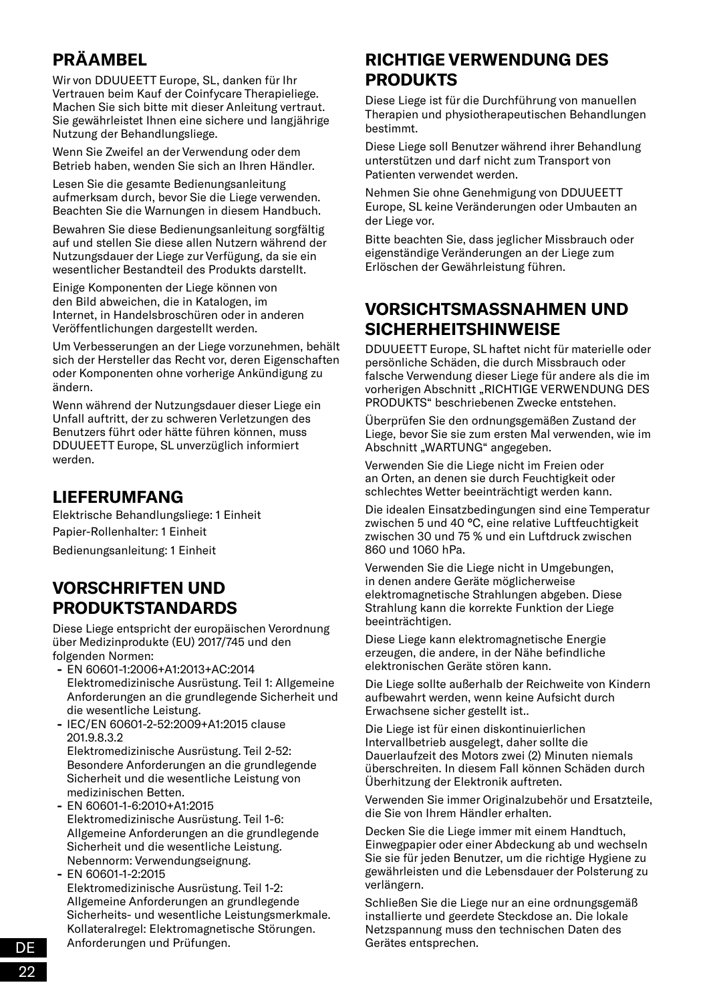# **PRÄAMBEL**

Wir von DDUUEETT Europe, SL, danken für Ihr Vertrauen beim Kauf der Coinfycare Therapieliege. Machen Sie sich bitte mit dieser Anleitung vertraut. Sie gewährleistet Ihnen eine sichere und langjährige Nutzung der Behandlungsliege.

Wenn Sie Zweifel an der Verwendung oder dem Betrieb haben, wenden Sie sich an Ihren Händler.

Lesen Sie die gesamte Bedienungsanleitung aufmerksam durch, bevor Sie die Liege verwenden. Beachten Sie die Warnungen in diesem Handbuch.

Bewahren Sie diese Bedienungsanleitung sorgfältig auf und stellen Sie diese allen Nutzern während der Nutzungsdauer der Liege zur Verfügung, da sie ein wesentlicher Bestandteil des Produkts darstellt.

Einige Komponenten der Liege können von den Bild abweichen, die in Katalogen, im Internet, in Handelsbroschüren oder in anderen Veröffentlichungen dargestellt werden.

Um Verbesserungen an der Liege vorzunehmen, behält sich der Hersteller das Recht vor, deren Eigenschaften oder Komponenten ohne vorherige Ankündigung zu ändern.

Wenn während der Nutzungsdauer dieser Liege ein Unfall auftritt, der zu schweren Verletzungen des Benutzers führt oder hätte führen können, muss DDUUEETT Europe, SL unverzüglich informiert werden.

### **LIEFERUMFANG**

Elektrische Behandlungsliege: 1 Einheit Papier-Rollenhalter: 1 Einheit

Bedienungsanleitung: 1 Einheit

### **VORSCHRIFTEN UND PRODUKTSTANDARDS**

Diese Liege entspricht der europäischen Verordnung über Medizinprodukte (EU) 2017/745 und den folgenden Normen:

- **-** EN 60601-1:2006+A1:2013+AC:2014 Elektromedizinische Ausrüstung. Teil 1: Allgemeine Anforderungen an die grundlegende Sicherheit und die wesentliche Leistung.
- **-** IEC/EN 60601-2-52:2009+A1:2015 clause 201.9.8.3.2 Elektromedizinische Ausrüstung. Teil 2-52: Besondere Anforderungen an die grundlegende

Sicherheit und die wesentliche Leistung von medizinischen Betten. **-** EN 60601-1-6:2010+A1:2015

- Elektromedizinische Ausrüstung. Teil 1-6: Allgemeine Anforderungen an die grundlegende Sicherheit und die wesentliche Leistung. Nebennorm: Verwendungseignung.
- **-** EN 60601-1-2:2015

Elektromedizinische Ausrüstung. Teil 1-2: Allgemeine Anforderungen an grundlegende Sicherheits- und wesentliche Leistungsmerkmale. Kollateralregel: Elektromagnetische Störungen. Anforderungen und Prüfungen.

### **RICHTIGE VERWENDUNG DES PRODUKTS**

Diese Liege ist für die Durchführung von manuellen Therapien und physiotherapeutischen Behandlungen bestimmt.

Diese Liege soll Benutzer während ihrer Behandlung unterstützen und darf nicht zum Transport von Patienten verwendet werden.

Nehmen Sie ohne Genehmigung von DDUUEETT Europe, SL keine Veränderungen oder Umbauten an der Liege vor.

Bitte beachten Sie, dass jeglicher Missbrauch oder eigenständige Veränderungen an der Liege zum Erlöschen der Gewährleistung führen.

# **VORSICHTSMASSNAHMEN UND SICHERHEITSHINWEISE**

DDUUEETT Europe, SL haftet nicht für materielle oder persönliche Schäden, die durch Missbrauch oder falsche Verwendung dieser Liege für andere als die im vorherigen Abschnitt "RICHTIGE VERWENDUNG DES PRODUKTS" beschriebenen Zwecke entstehen.

Überprüfen Sie den ordnungsgemäßen Zustand der Liege, bevor Sie sie zum ersten Mal verwenden, wie im Abschnitt "WARTUNG" angegeben.

Verwenden Sie die Liege nicht im Freien oder an Orten, an denen sie durch Feuchtigkeit oder schlechtes Wetter beeinträchtigt werden kann.

Die idealen Einsatzbedingungen sind eine Temperatur zwischen 5 und 40 °C, eine relative Luftfeuchtigkeit zwischen 30 und 75 % und ein Luftdruck zwischen 860 und 1060 hPa.

Verwenden Sie die Liege nicht in Umgebungen, in denen andere Geräte möglicherweise elektromagnetische Strahlungen abgeben. Diese Strahlung kann die korrekte Funktion der Liege beeinträchtigen.

Diese Liege kann elektromagnetische Energie erzeugen, die andere, in der Nähe befindliche elektronischen Geräte stören kann.

Die Liege sollte außerhalb der Reichweite von Kindern aufbewahrt werden, wenn keine Aufsicht durch Erwachsene sicher gestellt ist..

Die Liege ist für einen diskontinuierlichen Intervallbetrieb ausgelegt, daher sollte die Dauerlaufzeit des Motors zwei (2) Minuten niemals überschreiten. In diesem Fall können Schäden durch Überhitzung der Elektronik auftreten.

Verwenden Sie immer Originalzubehör und Ersatzteile, die Sie von Ihrem Händler erhalten.

Decken Sie die Liege immer mit einem Handtuch, Einwegpapier oder einer Abdeckung ab und wechseln Sie sie für jeden Benutzer, um die richtige Hygiene zu gewährleisten und die Lebensdauer der Polsterung zu verlängern.

Schließen Sie die Liege nur an eine ordnungsgemäß installierte und geerdete Steckdose an. Die lokale Netzspannung muss den technischen Daten des Gerätes entsprechen.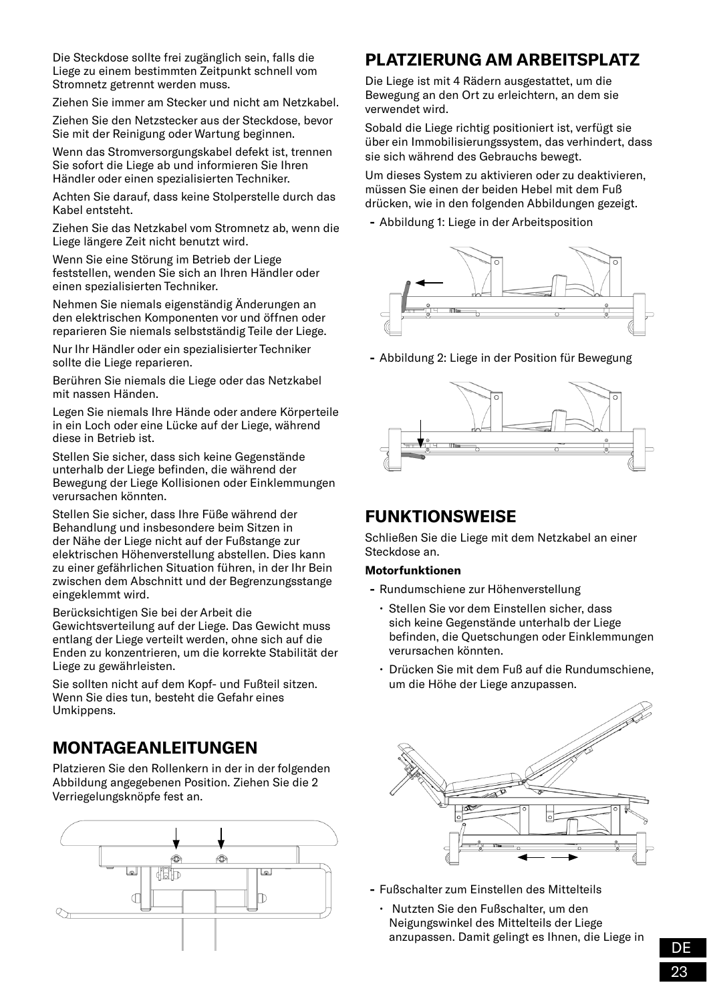Die Steckdose sollte frei zugänglich sein, falls die Liege zu einem bestimmten Zeitpunkt schnell vom Stromnetz getrennt werden muss.

Ziehen Sie immer am Stecker und nicht am Netzkabel.

Ziehen Sie den Netzstecker aus der Steckdose, bevor Sie mit der Reinigung oder Wartung beginnen.

Wenn das Stromversorgungskabel defekt ist, trennen Sie sofort die Liege ab und informieren Sie Ihren Händler oder einen spezialisierten Techniker.

Achten Sie darauf, dass keine Stolperstelle durch das Kabel entsteht.

Ziehen Sie das Netzkabel vom Stromnetz ab, wenn die Liege längere Zeit nicht benutzt wird.

Wenn Sie eine Störung im Betrieb der Liege feststellen, wenden Sie sich an Ihren Händler oder einen spezialisierten Techniker.

Nehmen Sie niemals eigenständig Änderungen an den elektrischen Komponenten vor und öffnen oder reparieren Sie niemals selbstständig Teile der Liege.

Nur Ihr Händler oder ein spezialisierter Techniker sollte die Liege reparieren.

Berühren Sie niemals die Liege oder das Netzkabel mit nassen Händen.

Legen Sie niemals Ihre Hände oder andere Körperteile in ein Loch oder eine Lücke auf der Liege, während diese in Betrieb ist.

Stellen Sie sicher, dass sich keine Gegenstände unterhalb der Liege befinden, die während der Bewegung der Liege Kollisionen oder Einklemmungen verursachen könnten.

Stellen Sie sicher, dass Ihre Füße während der Behandlung und insbesondere beim Sitzen in der Nähe der Liege nicht auf der Fußstange zur elektrischen Höhenverstellung abstellen. Dies kann zu einer gefährlichen Situation führen, in der Ihr Bein zwischen dem Abschnitt und der Begrenzungsstange eingeklemmt wird.

Berücksichtigen Sie bei der Arbeit die Gewichtsverteilung auf der Liege. Das Gewicht muss entlang der Liege verteilt werden, ohne sich auf die Enden zu konzentrieren, um die korrekte Stabilität der Liege zu gewährleisten.

Sie sollten nicht auf dem Kopf- und Fußteil sitzen. Wenn Sie dies tun, besteht die Gefahr eines Umkippens.

#### **MONTAGEANLEITUNGEN**

Platzieren Sie den Rollenkern in der in der folgenden Abbildung angegebenen Position. Ziehen Sie die 2 Verriegelungsknöpfe fest an.



# **PLATZIERLING AM ARREITSPLATZ**

Die Liege ist mit 4 Rädern ausgestattet, um die Bewegung an den Ort zu erleichtern, an dem sie verwendet wird.

Sobald die Liege richtig positioniert ist, verfügt sie über ein Immobilisierungssystem, das verhindert, dass sie sich während des Gebrauchs bewegt.

Um dieses System zu aktivieren oder zu deaktivieren, müssen Sie einen der beiden Hebel mit dem Fuß drücken, wie in den folgenden Abbildungen gezeigt.

**-** Abbildung 1: Liege in der Arbeitsposition



**-** Abbildung 2: Liege in der Position für Bewegung



#### **FUNKTIONSWEISE**

Schließen Sie die Liege mit dem Netzkabel an einer Steckdose an.

#### **Motorfunktionen**

- **-** Rundumschiene zur Höhenverstellung
	- Stellen Sie vor dem Einstellen sicher, dass sich keine Gegenstände unterhalb der Liege befinden, die Quetschungen oder Einklemmungen verursachen könnten.
	- Drücken Sie mit dem Fuß auf die Rundumschiene, um die Höhe der Liege anzupassen.



- **-** Fußschalter zum Einstellen des Mittelteils
	- Nutzten Sie den Fußschalter, um den Neigungswinkel des Mittelteils der Liege anzupassen. Damit gelingt es Ihnen, die Liege in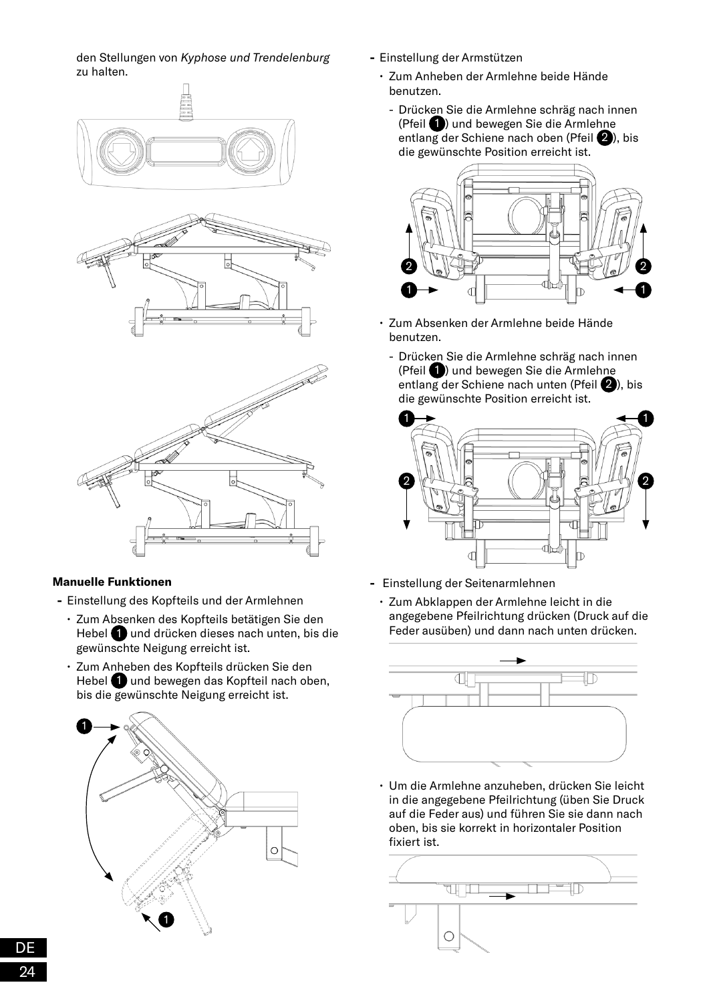den Stellungen von *Kyphose und Trendelenburg* zu halten.



#### **Manuelle Funktionen**

- **-** Einstellung des Kopfteils und der Armlehnen
	- Zum Absenken des Kopfteils betätigen Sie den Hebel 1 und drücken dieses nach unten, bis die gewünschte Neigung erreicht ist.
	- Zum Anheben des Kopfteils drücken Sie den Hebel **1** und bewegen das Kopfteil nach oben, bis die gewünschte Neigung erreicht ist.



- **-** Einstellung der Armstützen
	- Zum Anheben der Armlehne beide Hände benutzen.
		- Drücken Sie die Armlehne schräg nach innen (Pfeil  $\bigcirc$ ) und bewegen Sie die Armlehne entlang der Schiene nach oben (Pfeil 2), bis die gewünschte Position erreicht ist.



- Zum Absenken der Armlehne beide Hände benutzen.
	- Drücken Sie die Armlehne schräg nach innen (Pfeil 1) und bewegen Sie die Armlehne entlang der Schiene nach unten (Pfeil 2), bis die gewünschte Position erreicht ist.



- **-** Einstellung der Seitenarmlehnen
	- Zum Abklappen der Armlehne leicht in die angegebene Pfeilrichtung drücken (Druck auf die Feder ausüben) und dann nach unten drücken.



• Um die Armlehne anzuheben, drücken Sie leicht in die angegebene Pfeilrichtung (üben Sie Druck auf die Feder aus) und führen Sie sie dann nach oben, bis sie korrekt in horizontaler Position fixiert ist.

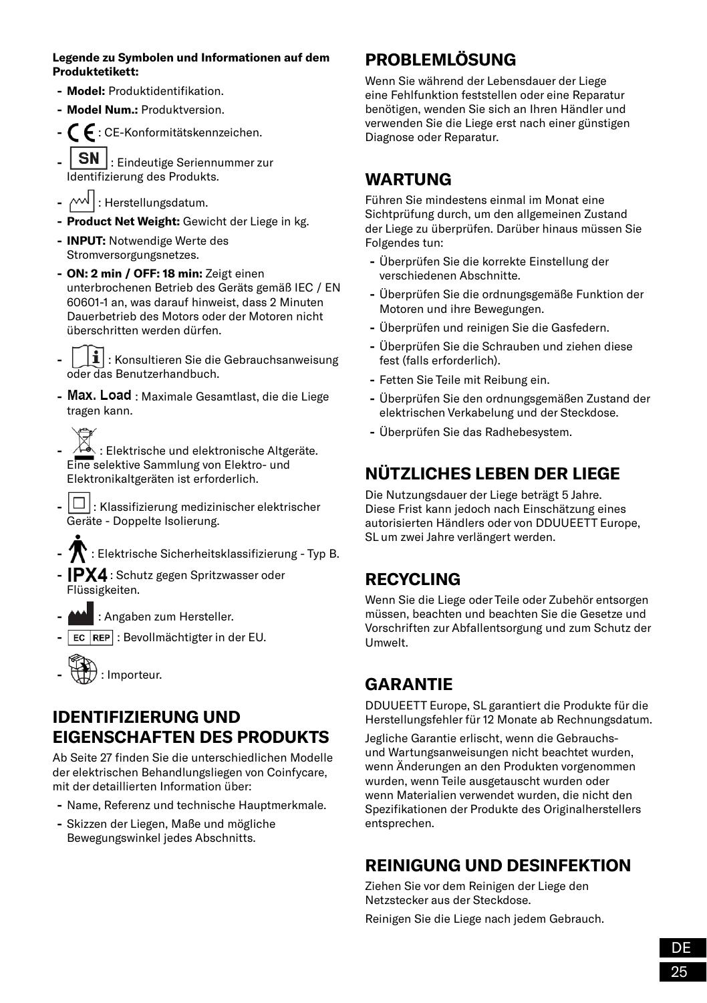#### **Legende zu Symbolen und Informationen auf dem Produktetikett:**

- **- Model:** Produktidentifikation.
- **- Model Num.:** Produktversion.
- **-** : CE-Konformitätskennzeichen.
- **SN** : Eindeutige Seriennummer zur Identifizierung des Produkts.
- $\sim$   $\sim$   $\mid$  : Herstellungsdatum.
- **- Product Net Weight:** Gewicht der Liege in kg.
- **- INPUT:** Notwendige Werte des Stromversorgungsnetzes.
- **- ON: 2 min / OFF: 18 min:** Zeigt einen unterbrochenen Betrieb des Geräts gemäß IEC / EN 60601-1 an, was darauf hinweist, dass 2 Minuten Dauerbetrieb des Motors oder der Motoren nicht überschritten werden dürfen.
- $\mathbf{1}$  : Konsultieren Sie die Gebrauchsanweisung oder das Benutzerhandbuch.
- Max. Load : Maximale Gesamtlast, die die Liege tragen kann.
- Elektrische und elektronische Altgeräte. Eine selektive Sammlung von Elektro- und Elektronikaltgeräten ist erforderlich.
- $\vert \Box \vert$ : Klassifizierung medizinischer elektrischer Geräte - Doppelte Isolierung.
- **-** : Elektrische Sicherheitsklassifizierung Typ B.
- **-** IPX4 : Schutz gegen Spritzwasser oder Flüssigkeiten.
- **-** : Angaben zum Hersteller.
- **EC REP** : Bevollmächtigter in der EU.



### **IDENTIFIZIERUNG UND EIGENSCHAFTEN DES PRODUKTS**

Ab Seite 27 finden Sie die unterschiedlichen Modelle der elektrischen Behandlungsliegen von Coinfycare, mit der detaillierten Information über:

- **-** Name, Referenz und technische Hauptmerkmale.
- **-** Skizzen der Liegen, Maße und mögliche Bewegungswinkel jedes Abschnitts.

# **PROBLEMLÖSUNG**

Wenn Sie während der Lebensdauer der Liege eine Fehlfunktion feststellen oder eine Reparatur benötigen, wenden Sie sich an Ihren Händler und verwenden Sie die Liege erst nach einer günstigen Diagnose oder Reparatur.

# **WARTUNG**

Führen Sie mindestens einmal im Monat eine Sichtprüfung durch, um den allgemeinen Zustand der Liege zu überprüfen. Darüber hinaus müssen Sie Folgendes tun:

- **-** Überprüfen Sie die korrekte Einstellung der verschiedenen Abschnitte.
- **-** Überprüfen Sie die ordnungsgemäße Funktion der Motoren und ihre Bewegungen.
- **-** Überprüfen und reinigen Sie die Gasfedern.
- **-** Überprüfen Sie die Schrauben und ziehen diese fest (falls erforderlich).
- **-** Fetten Sie Teile mit Reibung ein.
- **-** Überprüfen Sie den ordnungsgemäßen Zustand der elektrischen Verkabelung und der Steckdose.
- **-** Überprüfen Sie das Radhebesystem.

# **NÜTZLICHES LEBEN DER LIEGE**

Die Nutzungsdauer der Liege beträgt 5 Jahre. Diese Frist kann jedoch nach Einschätzung eines autorisierten Händlers oder von DDUUEETT Europe, SL um zwei Jahre verlängert werden.

# **RECYCLING**

Wenn Sie die Liege oder Teile oder Zubehör entsorgen müssen, beachten und beachten Sie die Gesetze und Vorschriften zur Abfallentsorgung und zum Schutz der Umwelt.

# **GARANTIE**

DDUUEETT Europe, SL garantiert die Produkte für die Herstellungsfehler für 12 Monate ab Rechnungsdatum.

Jegliche Garantie erlischt, wenn die Gebrauchsund Wartungsanweisungen nicht beachtet wurden, wenn Änderungen an den Produkten vorgenommen wurden, wenn Teile ausgetauscht wurden oder wenn Materialien verwendet wurden, die nicht den Spezifikationen der Produkte des Originalherstellers entsprechen.

# **REINIGUNG UND DESINFEKTION**

Ziehen Sie vor dem Reinigen der Liege den Netzstecker aus der Steckdose.

Reinigen Sie die Liege nach jedem Gebrauch.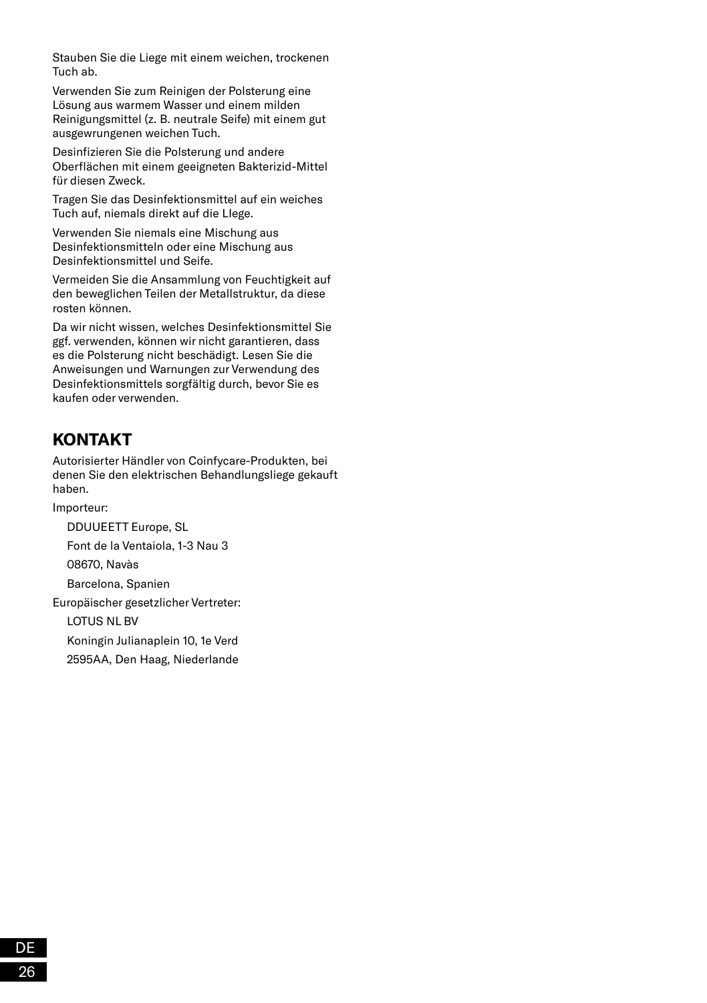Stauben Sie die Liege mit einem weichen, trockenen Tuch ab.

Verwenden Sie zum Reinigen der Polsterung eine Lösung aus warmem Wasser und einem milden Reinigungsmittel (z. B. neutrale Seife) mit einem gut ausgewrungenen weichen Tuch.

Desinfizieren Sie die Polsterung und andere Oberflächen mit einem geeigneten Bakterizid-Mittel für diesen Zweck.

Tragen Sie das Desinfektionsmittel auf ein weiches Tuch auf, niemals direkt auf die LIege.

Verwenden Sie niemals eine Mischung aus Desinfektionsmitteln oder eine Mischung aus Desinfektionsmittel und Seife.

Vermeiden Sie die Ansammlung von Feuchtigkeit auf den beweglichen Teilen der Metallstruktur, da diese rosten können.

Da wir nicht wissen, welches Desinfektionsmittel Sie ggf. verwenden, können wir nicht garantieren, dass es die Polsterung nicht beschädigt. Lesen Sie die Anweisungen und Warnungen zur Verwendung des Desinfektionsmittels sorgfältig durch, bevor Sie es kaufen oder verwenden.

# **KONTAKT**

Autorisierter Händler von Coinfycare-Produkten, bei denen Sie den elektrischen Behandlungsliege gekauft haben.

Importeur:

DDUUEETT Europe, SL

Font de la Ventaiola, 1-3 Nau 3

08670, Navàs

Barcelona, Spanien

Europäischer gesetzlicher Vertreter:

LOTUS NL BV

Koningin Julianaplein 10, 1e Verd

2595AA, Den Haag, Niederlande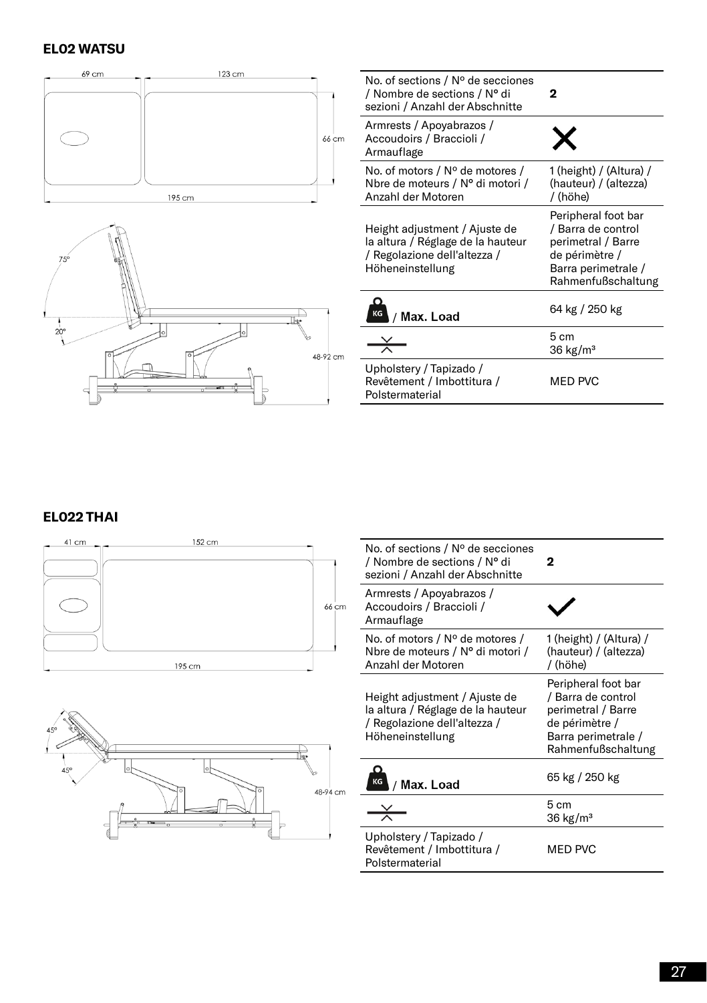#### **EL02 WATSU**





| No. of sections / $N^{\circ}$ de secciones<br>/ Nombre de sections / N° di<br>sezioni / Anzahl der Abschnitte          | 2                                                                                                                              |
|------------------------------------------------------------------------------------------------------------------------|--------------------------------------------------------------------------------------------------------------------------------|
| Armrests / Apoyabrazos /<br>Accoudoirs / Braccioli /<br>Armauflage                                                     |                                                                                                                                |
| No. of motors / $N^{\circ}$ de motores /<br>Nbre de moteurs / Nº di motori /<br>Anzahl der Motoren                     | 1 (height) / (Altura) /<br>(hauteur) / (altezza)<br>/ (höhe)                                                                   |
| Height adjustment / Ajuste de<br>la altura / Réglage de la hauteur<br>/ Regolazione dell'altezza /<br>Höheneinstellung | Peripheral foot bar<br>/ Barra de control<br>perimetral / Barre<br>de périmètre /<br>Barra perimetrale /<br>Rahmenfußschaltung |
| KG<br>Max. Load                                                                                                        | 64 kg / 250 kg                                                                                                                 |
|                                                                                                                        | 5 cm<br>$36 \text{ kg/m}^3$                                                                                                    |
| Upholstery / Tapizado /<br>Revêtement / Imbottitura /<br>Polstermaterial                                               | MED PVC                                                                                                                        |

#### **EL022 THAI**





| No. of sections / Nº de secciones<br>/ Nombre de sections / N° di<br>sezioni / Anzahl der Abschnitte                   | 2                                                                                                                              |
|------------------------------------------------------------------------------------------------------------------------|--------------------------------------------------------------------------------------------------------------------------------|
| Armrests / Apoyabrazos /<br>Accoudoirs / Braccioli /<br>Armauflage                                                     |                                                                                                                                |
| No. of motors / Nº de motores /<br>Nbre de moteurs / N° di motori /<br>Anzahl der Motoren                              | 1 (height) / (Altura) /<br>(hauteur) / (altezza)<br>/ (höhe)                                                                   |
| Height adjustment / Ajuste de<br>la altura / Réglage de la hauteur<br>/ Regolazione dell'altezza /<br>Höheneinstellung | Peripheral foot bar<br>/ Barra de control<br>perimetral / Barre<br>de périmètre /<br>Barra perimetrale /<br>Rahmenfußschaltung |
| Max. Load                                                                                                              | 65 kg / 250 kg                                                                                                                 |
|                                                                                                                        | 5cm<br>$36 \text{ kg/m}^3$                                                                                                     |
| Upholstery / Tapizado /<br>Revêtement / Imbottitura /<br>Polstermaterial                                               | MED PVC                                                                                                                        |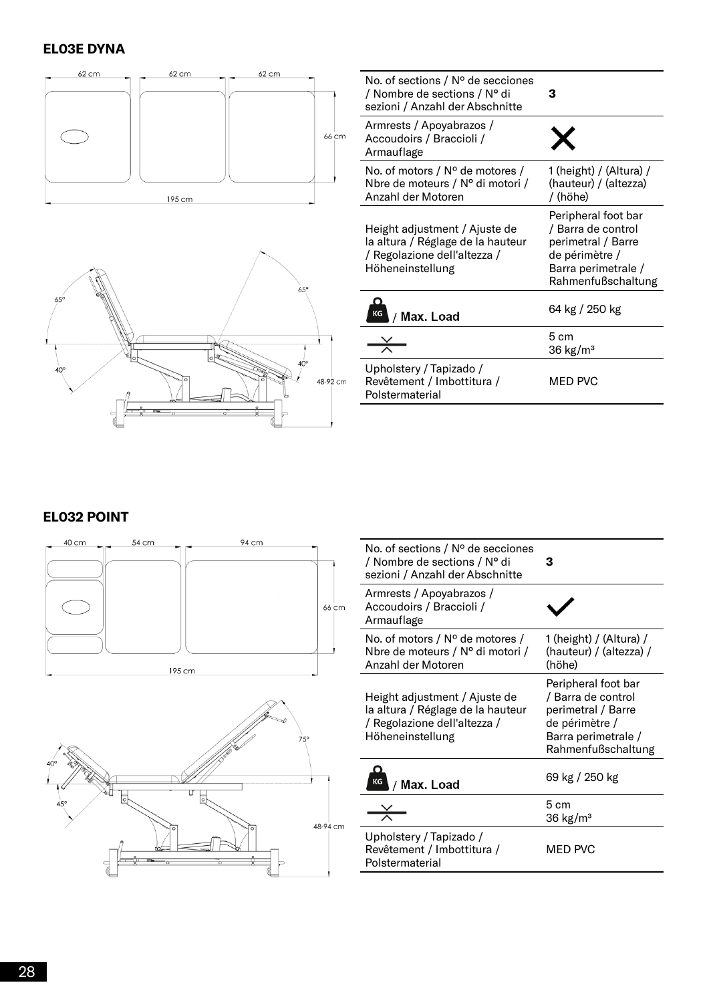#### **EL03E DYNA**





| No. of sections / Nº de secciones<br>/ Nombre de sections / N° di<br>sezioni / Anzahl der Abschnitte                   | з                                                                                                                              |
|------------------------------------------------------------------------------------------------------------------------|--------------------------------------------------------------------------------------------------------------------------------|
| Armrests / Apoyabrazos /<br>Accoudoirs / Braccioli /<br>Armauflage                                                     |                                                                                                                                |
| No. of motors / $N^{\circ}$ de motores /<br>Nbre de moteurs / N° di motori /<br>Anzahl der Motoren                     | 1 (height) / (Altura) /<br>(hauteur) / (altezza)<br>/ (höhe)                                                                   |
| Height adjustment / Ajuste de<br>la altura / Réglage de la hauteur<br>/ Regolazione dell'altezza /<br>Höheneinstellung | Peripheral foot bar<br>/ Barra de control<br>perimetral / Barre<br>de périmètre /<br>Barra perimetrale /<br>Rahmenfußschaltung |
| Max. Load                                                                                                              | 64 kg / 250 kg                                                                                                                 |
|                                                                                                                        | 5cm<br>$36 \text{ kg/m}^3$                                                                                                     |
| Upholstery / Tapizado /<br>Revêtement / Imbottitura /<br>Polstermaterial                                               | MED PVC                                                                                                                        |

#### **EL032 POINT**





| No. of sections / Nº de secciones<br>/ Nombre de sections / N° di<br>sezioni / Anzahl der Abschnitte                   | 3                                                                                                                              |
|------------------------------------------------------------------------------------------------------------------------|--------------------------------------------------------------------------------------------------------------------------------|
| Armrests / Apoyabrazos /<br>Accoudoirs / Braccioli /<br>Armauflage                                                     |                                                                                                                                |
| No. of motors / $N^{\circ}$ de motores /<br>Nbre de moteurs / N° di motori /<br>Anzahl der Motoren                     | 1 (height) / (Altura) /<br>(hauteur) / (altezza) /<br>(höhe)                                                                   |
| Height adjustment / Ajuste de<br>la altura / Réglage de la hauteur<br>/ Regolazione dell'altezza /<br>Höheneinstellung | Peripheral foot bar<br>/ Barra de control<br>perimetral / Barre<br>de périmètre /<br>Barra perimetrale /<br>Rahmenfußschaltung |
| Max. Load                                                                                                              | 69 kg / 250 kg                                                                                                                 |
|                                                                                                                        | 5cm<br>$36 \text{ kg/m}^3$                                                                                                     |
| Upholstery / Tapizado /<br>Revêtement / Imbottitura /<br>Polstermaterial                                               | <b>MED PVC</b>                                                                                                                 |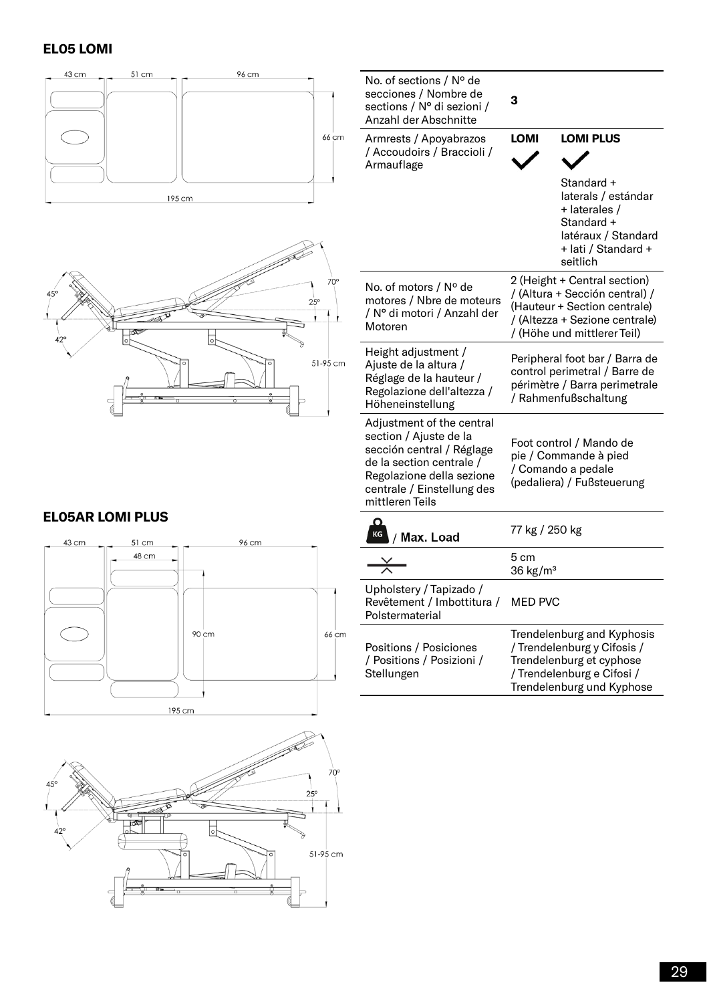#### **EL05 LOMI**

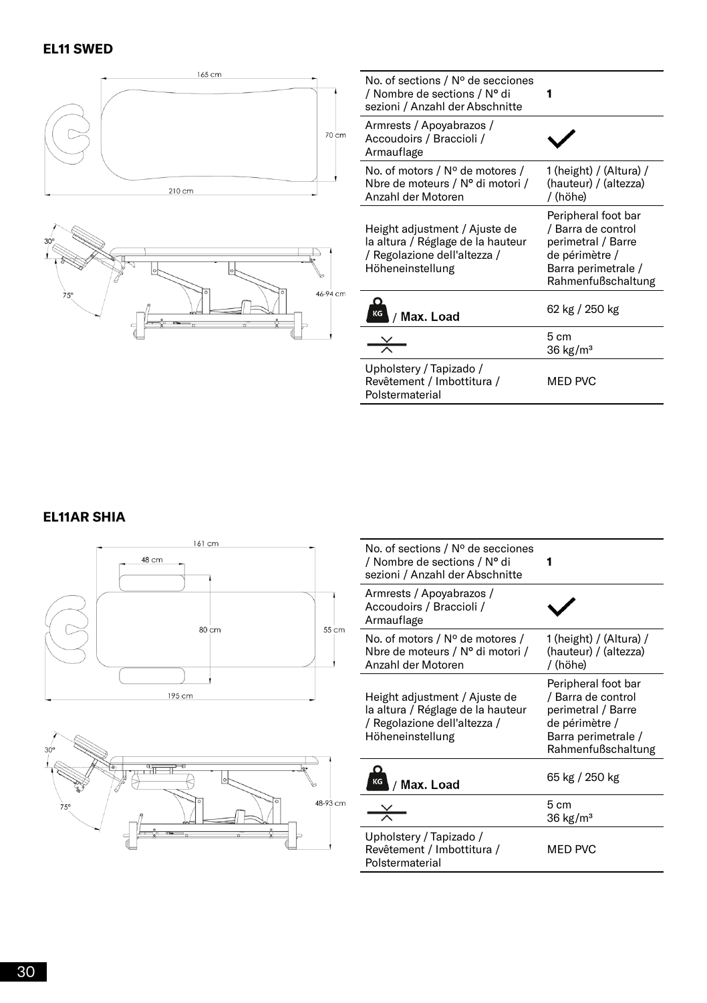

#### **EL11AR SHIA**





| No. of sections / Nº de secciones<br>/ Nombre de sections / N° di<br>sezioni / Anzahl der Abschnitte                   |                                                                                                                                |
|------------------------------------------------------------------------------------------------------------------------|--------------------------------------------------------------------------------------------------------------------------------|
| Armrests / Apoyabrazos /<br>Accoudoirs / Braccioli /<br>Armauflage                                                     |                                                                                                                                |
| No. of motors / $N^{\circ}$ de motores /<br>Nbre de moteurs / N° di motori /<br>Anzahl der Motoren                     | 1 (height) / (Altura) /<br>(hauteur) / (altezza)<br>/ (höhe)                                                                   |
| Height adjustment / Ajuste de<br>la altura / Réglage de la hauteur<br>/ Regolazione dell'altezza /<br>Höheneinstellung | Peripheral foot bar<br>/ Barra de control<br>perimetral / Barre<br>de périmètre /<br>Barra perimetrale /<br>Rahmenfußschaltung |
| Max. Load                                                                                                              | 65 kg / 250 kg                                                                                                                 |
|                                                                                                                        | 5cm<br>$36 \text{ kg/m}^3$                                                                                                     |
| Upholstery / Tapizado /<br>Revêtement / Imbottitura /<br>Polstermaterial                                               | MED PVC                                                                                                                        |